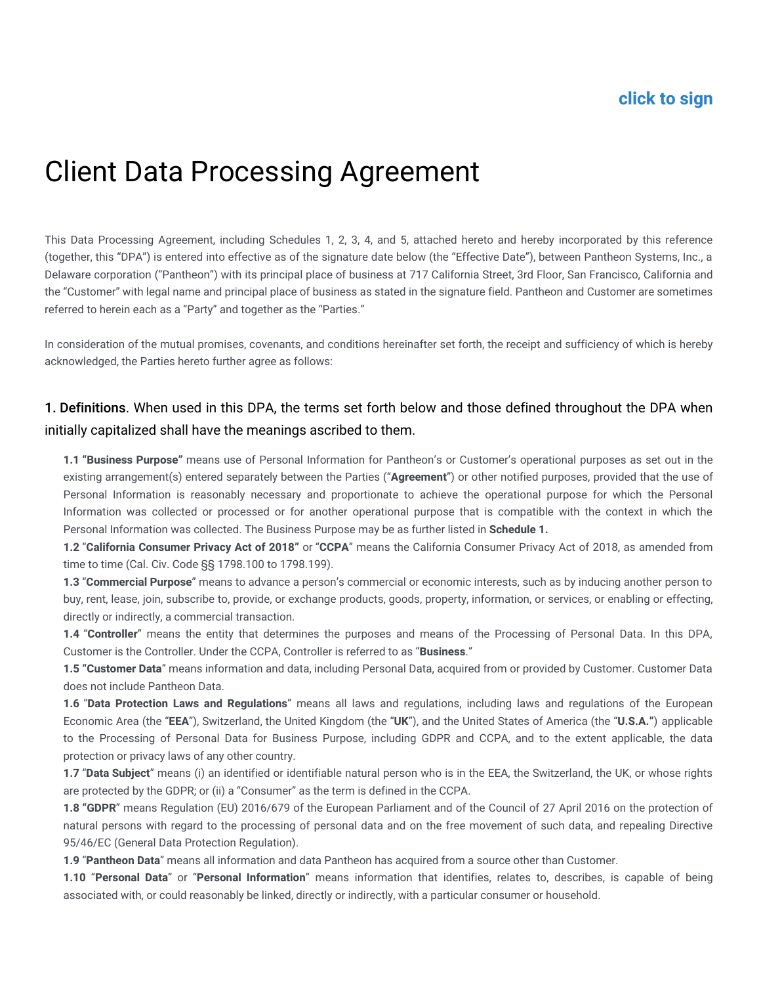# Client Data Processing Agreement

This Data Processing Agreement, including Schedules 1, 2, 3, 4, and 5, attached hereto and hereby incorporated by this reference (together, this "DPA") is entered into effective as of the signature date below (the "Effective Date"), between Pantheon Systems, Inc., a Delaware corporation ("Pantheon") with its principal place of business at 717 California Street, 3rd Floor, San Francisco, California and the "Customer" with legal name and principal place of business as stated in the signature field. Pantheon and Customer are sometimes referred to herein each as a "Party" and together as the "Parties."

In consideration of the mutual promises, covenants, and conditions hereinafter set forth, the receipt and sufficiency of which is hereby acknowledged, the Parties hereto further agree as follows:

## 1. Definitions. When used in this DPA, the terms set forth below and those defined throughout the DPA when initially capitalized shall have the meanings ascribed to them.

**1.1 "Business Purpose"** means use of Personal Information for Pantheon's or Customer's operational purposes as set out in the existing arrangement(s) entered separately between the Parties ("**Agreement**") or other notified purposes, provided that the use of Personal Information is reasonably necessary and proportionate to achieve the operational purpose for which the Personal Information was collected or processed or for another operational purpose that is compatible with the context in which the Personal Information was collected. The Business Purpose may be as further listed in **Schedule 1.**

**1.2** "**California Consumer Privacy Act of 2018"** or "**CCPA**" means the California Consumer Privacy Act of 2018, as amended from time to time (Cal. Civ. Code §§ 1798.100 to 1798.199).

**1.3** "**Commercial Purpose**" means to advance a person's commercial or economic interests, such as by inducing another person to buy, rent, lease, join, subscribe to, provide, or exchange products, goods, property, information, or services, or enabling or effecting, directly or indirectly, a commercial transaction.

**1.4** "**Controller**" means the entity that determines the purposes and means of the Processing of Personal Data. In this DPA, Customer is the Controller. Under the CCPA, Controller is referred to as "**Business**."

**1.5 "Customer Data**" means information and data, including Personal Data, acquired from or provided by Customer. Customer Data does not include Pantheon Data.

**1.6** "**Data Protection Laws and Regulations**" means all laws and regulations, including laws and regulations of the European Economic Area (the "**EEA**"), Switzerland, the United Kingdom (the "**UK**"), and the United States of America (the "**U.S.A."**) applicable to the Processing of Personal Data for Business Purpose, including GDPR and CCPA, and to the extent applicable, the data protection or privacy laws of any other country.

**1.7** "**Data Subject**" means (i) an identified or identifiable natural person who is in the EEA, the Switzerland, the UK, or whose rights are protected by the GDPR; or (ii) a "Consumer" as the term is defined in the CCPA.

**1.8 "GDPR**" means Regulation (EU) 2016/679 of the European Parliament and of the Council of 27 April 2016 on the protection of natural persons with regard to the processing of personal data and on the free movement of such data, and repealing Directive 95/46/EC (General Data Protection Regulation).

**1.9** "**Pantheon Data**" means all information and data Pantheon has acquired from a source other than Customer.

**1.10** "**Personal Data**" or "**Personal Information**" means information that identifies, relates to, describes, is capable of being associated with, or could reasonably be linked, directly or indirectly, with a particular consumer or household.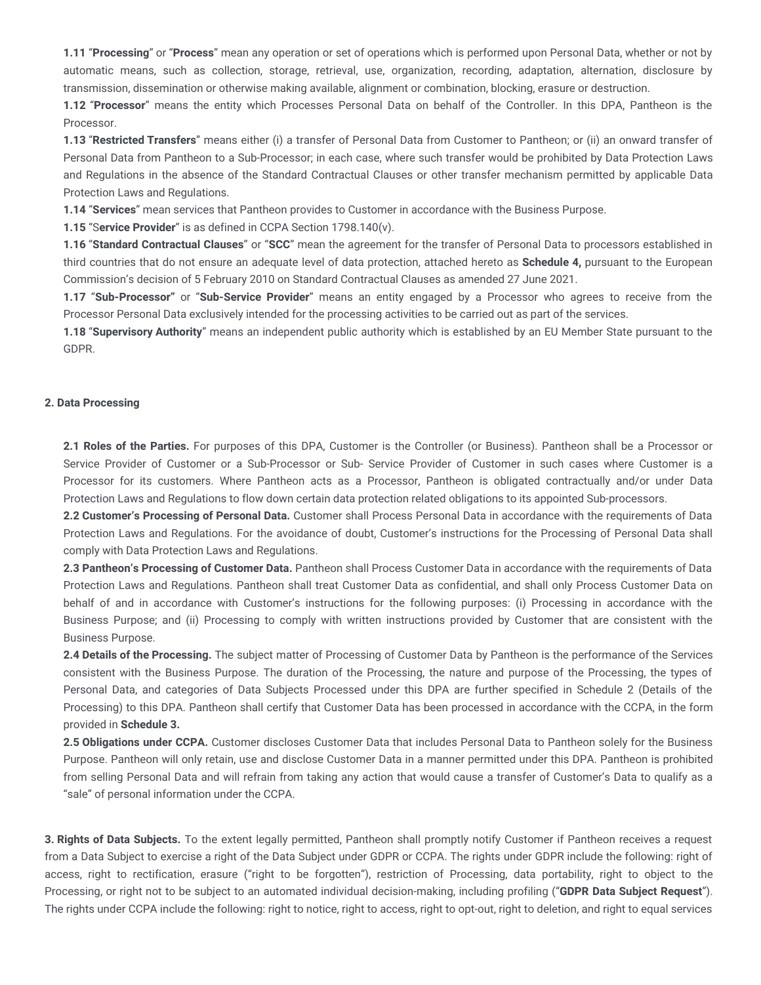**1.11** "**Processing**" or "**Process**" mean any operation or set of operations which is performed upon Personal Data, whether or not by automatic means, such as collection, storage, retrieval, use, organization, recording, adaptation, alternation, disclosure by transmission, dissemination or otherwise making available, alignment or combination, blocking, erasure or destruction.

**1.12** "**Processor**" means the entity which Processes Personal Data on behalf of the Controller. In this DPA, Pantheon is the Processor.

**1.13** "**Restricted Transfers**" means either (i) a transfer of Personal Data from Customer to Pantheon; or (ii) an onward transfer of Personal Data from Pantheon to a Sub-Processor; in each case, where such transfer would be prohibited by Data Protection Laws and Regulations in the absence of the Standard Contractual Clauses or other transfer mechanism permitted by applicable Data Protection Laws and Regulations.

**1.14** "**Services**" mean services that Pantheon provides to Customer in accordance with the Business Purpose.

**1.15** "S**ervice Provider**" is as defined in CCPA Section 1798.140(v).

**1.16** "**Standard Contractual Clauses**" or "**SCC**" mean the agreement for the transfer of Personal Data to processors established in third countries that do not ensure an adequate level of data protection, attached hereto as **Schedule 4,** pursuant to the European Commission's decision of 5 February 2010 on Standard Contractual Clauses as amended 27 June 2021.

**1.17** "**Sub-Processor"** or "**Sub-Service Provider**" means an entity engaged by a Processor who agrees to receive from the Processor Personal Data exclusively intended for the processing activities to be carried out as part of the services.

**1.18** "**Supervisory Authority**" means an independent public authority which is established by an EU Member State pursuant to the GDPR.

#### **2. Data Processing**

**2.1 Roles of the Parties.** For purposes of this DPA, Customer is the Controller (or Business). Pantheon shall be a Processor or Service Provider of Customer or a Sub-Processor or Sub- Service Provider of Customer in such cases where Customer is a Processor for its customers. Where Pantheon acts as a Processor, Pantheon is obligated contractually and/or under Data Protection Laws and Regulations to flow down certain data protection related obligations to its appointed Sub-processors.

**2.2 Customer's Processing of Personal Data.** Customer shall Process Personal Data in accordance with the requirements of Data Protection Laws and Regulations. For the avoidance of doubt, Customer's instructions for the Processing of Personal Data shall comply with Data Protection Laws and Regulations.

**2.3 Pantheon's Processing of Customer Data.** Pantheon shall Process Customer Data in accordance with the requirements of Data Protection Laws and Regulations. Pantheon shall treat Customer Data as confidential, and shall only Process Customer Data on behalf of and in accordance with Customer's instructions for the following purposes: (i) Processing in accordance with the Business Purpose; and (ii) Processing to comply with written instructions provided by Customer that are consistent with the Business Purpose.

**2.4 Details of the Processing.** The subject matter of Processing of Customer Data by Pantheon is the performance of the Services consistent with the Business Purpose. The duration of the Processing, the nature and purpose of the Processing, the types of Personal Data, and categories of Data Subjects Processed under this DPA are further specified in Schedule 2 (Details of the Processing) to this DPA. Pantheon shall certify that Customer Data has been processed in accordance with the CCPA, in the form provided in **Schedule 3.**

**2.5 Obligations under CCPA.** Customer discloses Customer Data that includes Personal Data to Pantheon solely for the Business Purpose. Pantheon will only retain, use and disclose Customer Data in a manner permitted under this DPA. Pantheon is prohibited from selling Personal Data and will refrain from taking any action that would cause a transfer of Customer's Data to qualify as a "sale" of personal information under the CCPA.

**3. Rights of Data Subjects.** To the extent legally permitted, Pantheon shall promptly notify Customer if Pantheon receives a request from a Data Subject to exercise a right of the Data Subject under GDPR or CCPA. The rights under GDPR include the following: right of access, right to rectification, erasure ("right to be forgotten"), restriction of Processing, data portability, right to object to the Processing, or right not to be subject to an automated individual decision-making, including profiling ("**GDPR Data Subject Request**"). The rights under CCPA include the following: right to notice, right to access, right to opt-out, right to deletion, and right to equal services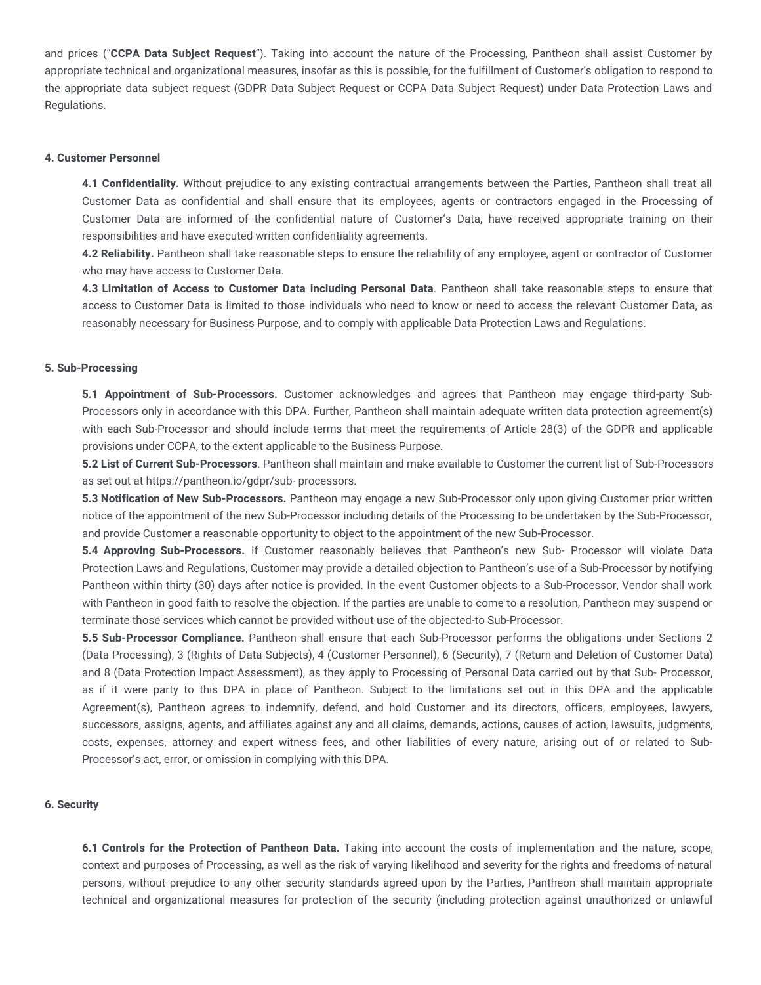and prices ("**CCPA Data Subject Request**"). Taking into account the nature of the Processing, Pantheon shall assist Customer by appropriate technical and organizational measures, insofar as this is possible, for the fulfillment of Customer's obligation to respond to the appropriate data subject request (GDPR Data Subject Request or CCPA Data Subject Request) under Data Protection Laws and Regulations.

#### **4. Customer Personnel**

**4.1 Confidentiality.** Without prejudice to any existing contractual arrangements between the Parties, Pantheon shall treat all Customer Data as confidential and shall ensure that its employees, agents or contractors engaged in the Processing of Customer Data are informed of the confidential nature of Customer's Data, have received appropriate training on their responsibilities and have executed written confidentiality agreements.

**4.2 Reliability.** Pantheon shall take reasonable steps to ensure the reliability of any employee, agent or contractor of Customer who may have access to Customer Data.

**4.3 Limitation of Access to Customer Data including Personal Data**. Pantheon shall take reasonable steps to ensure that access to Customer Data is limited to those individuals who need to know or need to access the relevant Customer Data, as reasonably necessary for Business Purpose, and to comply with applicable Data Protection Laws and Regulations.

#### **5. Sub-Processing**

**5.1 Appointment of Sub-Processors.** Customer acknowledges and agrees that Pantheon may engage third-party Sub-Processors only in accordance with this DPA. Further, Pantheon shall maintain adequate written data protection agreement(s) with each Sub-Processor and should include terms that meet the requirements of Article 28(3) of the GDPR and applicable provisions under CCPA, to the extent applicable to the Business Purpose.

**5.2 List of Current Sub-Processors**. Pantheon shall maintain and make available to Customer the current list of Sub-Processors as set out at https://pantheon.io/gdpr/sub- processors.

**5.3 Notification of New Sub-Processors.** Pantheon may engage a new Sub-Processor only upon giving Customer prior written notice of the appointment of the new Sub-Processor including details of the Processing to be undertaken by the Sub-Processor, and provide Customer a reasonable opportunity to object to the appointment of the new Sub-Processor.

**5.4 Approving Sub-Processors.** If Customer reasonably believes that Pantheon's new Sub- Processor will violate Data Protection Laws and Regulations, Customer may provide a detailed objection to Pantheon's use of a Sub-Processor by notifying Pantheon within thirty (30) days after notice is provided. In the event Customer objects to a Sub-Processor, Vendor shall work with Pantheon in good faith to resolve the objection. If the parties are unable to come to a resolution, Pantheon may suspend or terminate those services which cannot be provided without use of the objected-to Sub-Processor.

**5.5 Sub-Processor Compliance.** Pantheon shall ensure that each Sub-Processor performs the obligations under Sections 2 (Data Processing), 3 (Rights of Data Subjects), 4 (Customer Personnel), 6 (Security), 7 (Return and Deletion of Customer Data) and 8 (Data Protection Impact Assessment), as they apply to Processing of Personal Data carried out by that Sub- Processor, as if it were party to this DPA in place of Pantheon. Subject to the limitations set out in this DPA and the applicable Agreement(s), Pantheon agrees to indemnify, defend, and hold Customer and its directors, officers, employees, lawyers, successors, assigns, agents, and affiliates against any and all claims, demands, actions, causes of action, lawsuits, judgments, costs, expenses, attorney and expert witness fees, and other liabilities of every nature, arising out of or related to Sub-Processor's act, error, or omission in complying with this DPA.

#### **6. Security**

**6.1 Controls for the Protection of Pantheon Data.** Taking into account the costs of implementation and the nature, scope, context and purposes of Processing, as well as the risk of varying likelihood and severity for the rights and freedoms of natural persons, without prejudice to any other security standards agreed upon by the Parties, Pantheon shall maintain appropriate technical and organizational measures for protection of the security (including protection against unauthorized or unlawful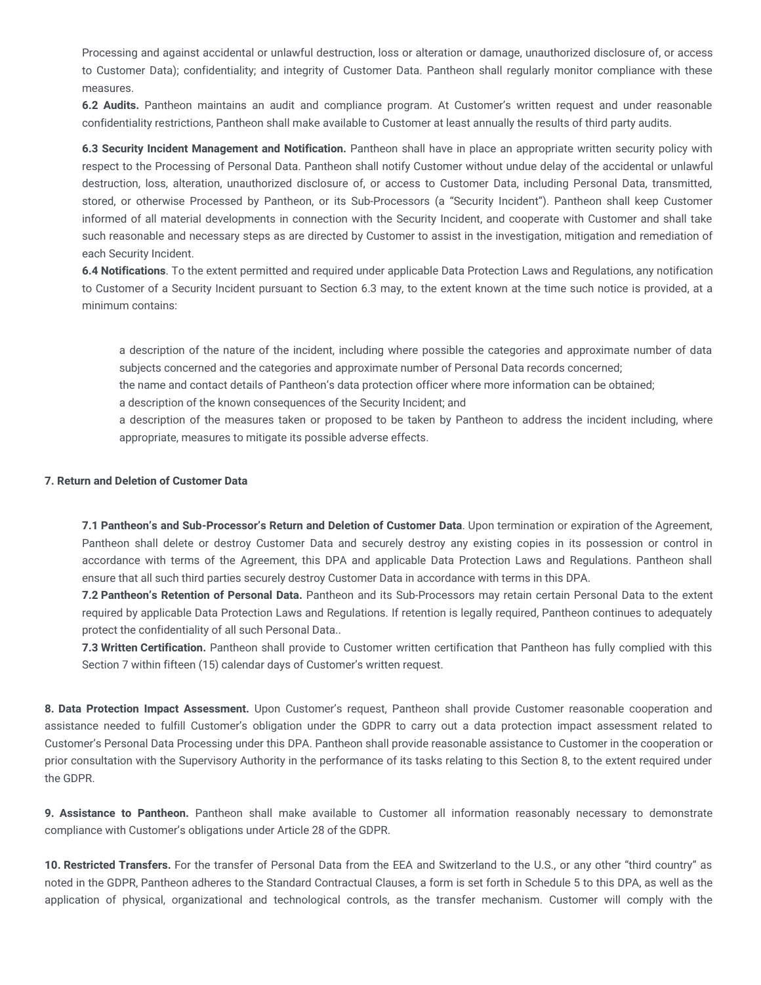Processing and against accidental or unlawful destruction, loss or alteration or damage, unauthorized disclosure of, or access to Customer Data); confidentiality; and integrity of Customer Data. Pantheon shall regularly monitor compliance with these measures.

**6.2 Audits.** Pantheon maintains an audit and compliance program. At Customer's written request and under reasonable confidentiality restrictions, Pantheon shall make available to Customer at least annually the results of third party audits.

**6.3 Security Incident Management and Notification.** Pantheon shall have in place an appropriate written security policy with respect to the Processing of Personal Data. Pantheon shall notify Customer without undue delay of the accidental or unlawful destruction, loss, alteration, unauthorized disclosure of, or access to Customer Data, including Personal Data, transmitted, stored, or otherwise Processed by Pantheon, or its Sub-Processors (a "Security Incident"). Pantheon shall keep Customer informed of all material developments in connection with the Security Incident, and cooperate with Customer and shall take such reasonable and necessary steps as are directed by Customer to assist in the investigation, mitigation and remediation of each Security Incident.

**6.4 Notifications**. To the extent permitted and required under applicable Data Protection Laws and Regulations, any notification to Customer of a Security Incident pursuant to Section 6.3 may, to the extent known at the time such notice is provided, at a minimum contains:

a description of the nature of the incident, including where possible the categories and approximate number of data subjects concerned and the categories and approximate number of Personal Data records concerned;

the name and contact details of Pantheon's data protection officer where more information can be obtained;

a description of the known consequences of the Security Incident; and

a description of the measures taken or proposed to be taken by Pantheon to address the incident including, where appropriate, measures to mitigate its possible adverse effects.

#### **7. Return and Deletion of Customer Data**

**7.1 Pantheon's and Sub-Processor's Return and Deletion of Customer Data**. Upon termination or expiration of the Agreement, Pantheon shall delete or destroy Customer Data and securely destroy any existing copies in its possession or control in accordance with terms of the Agreement, this DPA and applicable Data Protection Laws and Regulations. Pantheon shall ensure that all such third parties securely destroy Customer Data in accordance with terms in this DPA.

**7.2 Pantheon's Retention of Personal Data.** Pantheon and its Sub-Processors may retain certain Personal Data to the extent required by applicable Data Protection Laws and Regulations. If retention is legally required, Pantheon continues to adequately protect the confidentiality of all such Personal Data..

**7.3 Written Certification.** Pantheon shall provide to Customer written certification that Pantheon has fully complied with this Section 7 within fifteen (15) calendar days of Customer's written request.

**8. Data Protection Impact Assessment.** Upon Customer's request, Pantheon shall provide Customer reasonable cooperation and assistance needed to fulfill Customer's obligation under the GDPR to carry out a data protection impact assessment related to Customer's Personal Data Processing under this DPA. Pantheon shall provide reasonable assistance to Customer in the cooperation or prior consultation with the Supervisory Authority in the performance of its tasks relating to this Section 8, to the extent required under the GDPR.

**9. Assistance to Pantheon.** Pantheon shall make available to Customer all information reasonably necessary to demonstrate compliance with Customer's obligations under Article 28 of the GDPR.

**10. Restricted Transfers.** For the transfer of Personal Data from the EEA and Switzerland to the U.S., or any other "third country" as noted in the GDPR, Pantheon adheres to the Standard Contractual Clauses, a form is set forth in Schedule 5 to this DPA, as well as the application of physical, organizational and technological controls, as the transfer mechanism. Customer will comply with the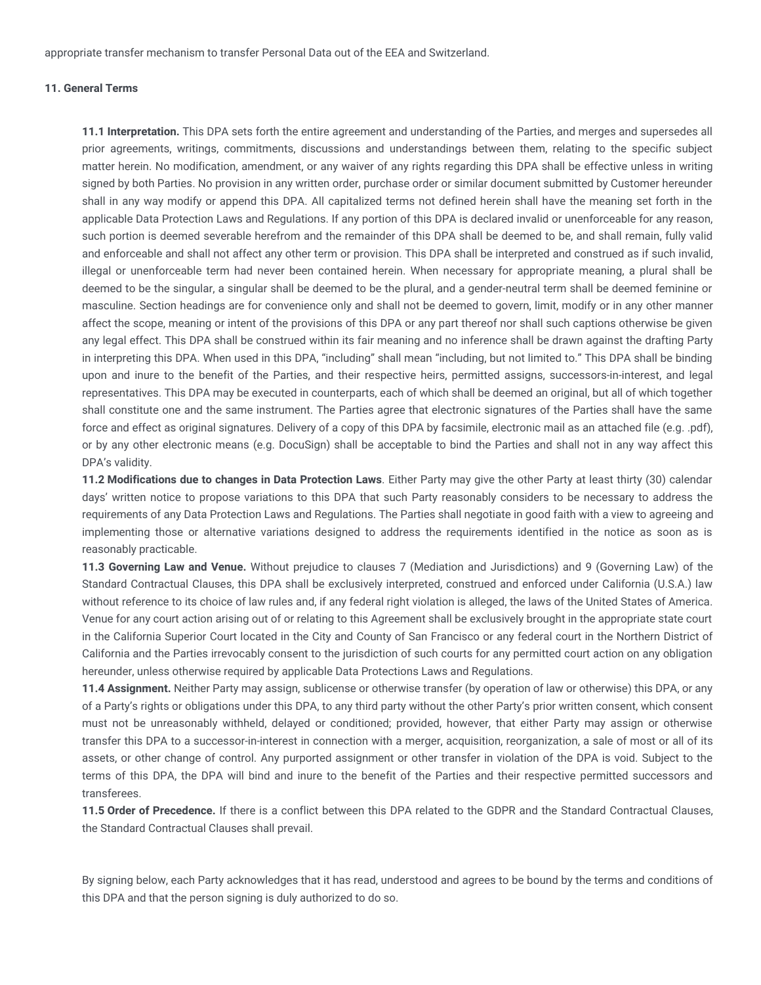appropriate transfer mechanism to transfer Personal Data out of the EEA and Switzerland.

#### **11. General Terms**

**11.1 Interpretation.** This DPA sets forth the entire agreement and understanding of the Parties, and merges and supersedes all prior agreements, writings, commitments, discussions and understandings between them, relating to the specific subject matter herein. No modification, amendment, or any waiver of any rights regarding this DPA shall be effective unless in writing signed by both Parties. No provision in any written order, purchase order or similar document submitted by Customer hereunder shall in any way modify or append this DPA. All capitalized terms not defined herein shall have the meaning set forth in the applicable Data Protection Laws and Regulations. If any portion of this DPA is declared invalid or unenforceable for any reason, such portion is deemed severable herefrom and the remainder of this DPA shall be deemed to be, and shall remain, fully valid and enforceable and shall not affect any other term or provision. This DPA shall be interpreted and construed as if such invalid, illegal or unenforceable term had never been contained herein. When necessary for appropriate meaning, a plural shall be deemed to be the singular, a singular shall be deemed to be the plural, and a gender-neutral term shall be deemed feminine or masculine. Section headings are for convenience only and shall not be deemed to govern, limit, modify or in any other manner affect the scope, meaning or intent of the provisions of this DPA or any part thereof nor shall such captions otherwise be given any legal effect. This DPA shall be construed within its fair meaning and no inference shall be drawn against the drafting Party in interpreting this DPA. When used in this DPA, "including" shall mean "including, but not limited to." This DPA shall be binding upon and inure to the benefit of the Parties, and their respective heirs, permitted assigns, successors-in-interest, and legal representatives. This DPA may be executed in counterparts, each of which shall be deemed an original, but all of which together shall constitute one and the same instrument. The Parties agree that electronic signatures of the Parties shall have the same force and effect as original signatures. Delivery of a copy of this DPA by facsimile, electronic mail as an attached file (e.g. .pdf), or by any other electronic means (e.g. DocuSign) shall be acceptable to bind the Parties and shall not in any way affect this DPA's validity.

**11.2 Modifications due to changes in Data Protection Laws**. Either Party may give the other Party at least thirty (30) calendar days' written notice to propose variations to this DPA that such Party reasonably considers to be necessary to address the requirements of any Data Protection Laws and Regulations. The Parties shall negotiate in good faith with a view to agreeing and implementing those or alternative variations designed to address the requirements identified in the notice as soon as is reasonably practicable.

**11.3 Governing Law and Venue.** Without prejudice to clauses 7 (Mediation and Jurisdictions) and 9 (Governing Law) of the Standard Contractual Clauses, this DPA shall be exclusively interpreted, construed and enforced under California (U.S.A.) law without reference to its choice of law rules and, if any federal right violation is alleged, the laws of the United States of America. Venue for any court action arising out of or relating to this Agreement shall be exclusively brought in the appropriate state court in the California Superior Court located in the City and County of San Francisco or any federal court in the Northern District of California and the Parties irrevocably consent to the jurisdiction of such courts for any permitted court action on any obligation hereunder, unless otherwise required by applicable Data Protections Laws and Regulations.

**11.4 Assignment.** Neither Party may assign, sublicense or otherwise transfer (by operation of law or otherwise) this DPA, or any of a Party's rights or obligations under this DPA, to any third party without the other Party's prior written consent, which consent must not be unreasonably withheld, delayed or conditioned; provided, however, that either Party may assign or otherwise transfer this DPA to a successor-in-interest in connection with a merger, acquisition, reorganization, a sale of most or all of its assets, or other change of control. Any purported assignment or other transfer in violation of the DPA is void. Subject to the terms of this DPA, the DPA will bind and inure to the benefit of the Parties and their respective permitted successors and transferees.

**11.5 Order of Precedence.** If there is a conflict between this DPA related to the GDPR and the Standard Contractual Clauses, the Standard Contractual Clauses shall prevail.

By signing below, each Party acknowledges that it has read, understood and agrees to be bound by the terms and conditions of this DPA and that the person signing is duly authorized to do so.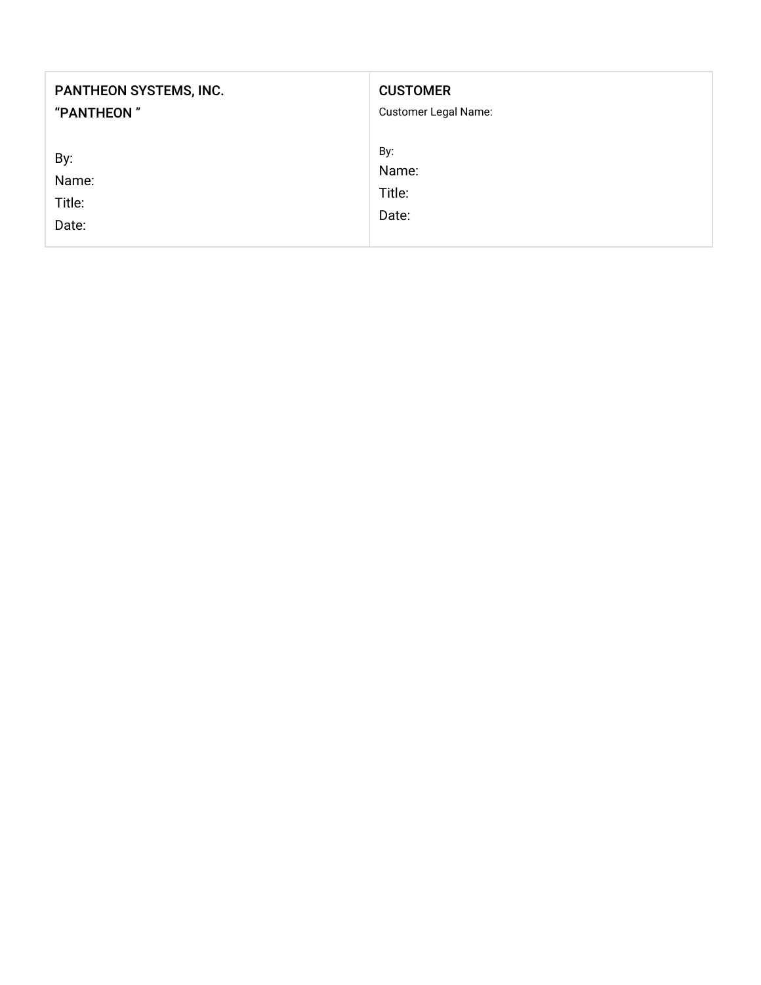| <b>PANTHEON SYSTEMS, INC.</b> | <b>CUSTOMER</b>             |
|-------------------------------|-----------------------------|
| "PANTHEON"                    | <b>Customer Legal Name:</b> |
| By:                           | By:                         |
| Name:                         | Name:                       |
| Title:                        | Title:                      |
| Date:                         | Date:                       |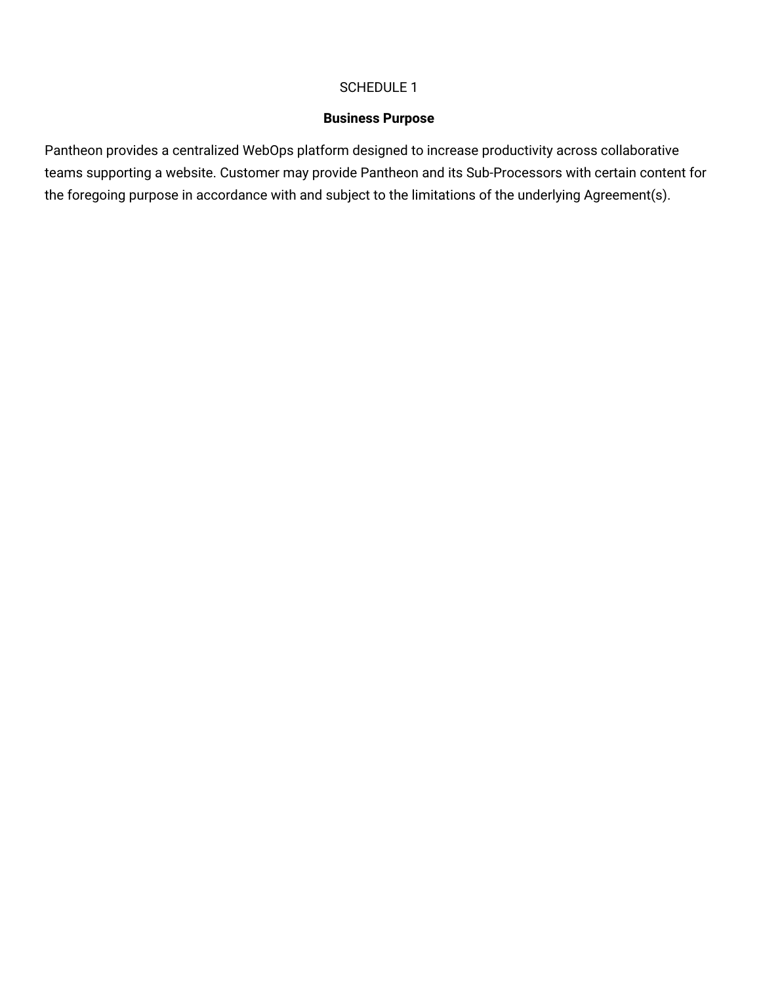## **Business Purpose**

Pantheon provides a centralized WebOps platform designed to increase productivity across collaborative teams supporting a website. Customer may provide Pantheon and its Sub-Processors with certain content for the foregoing purpose in accordance with and subject to the limitations of the underlying Agreement(s).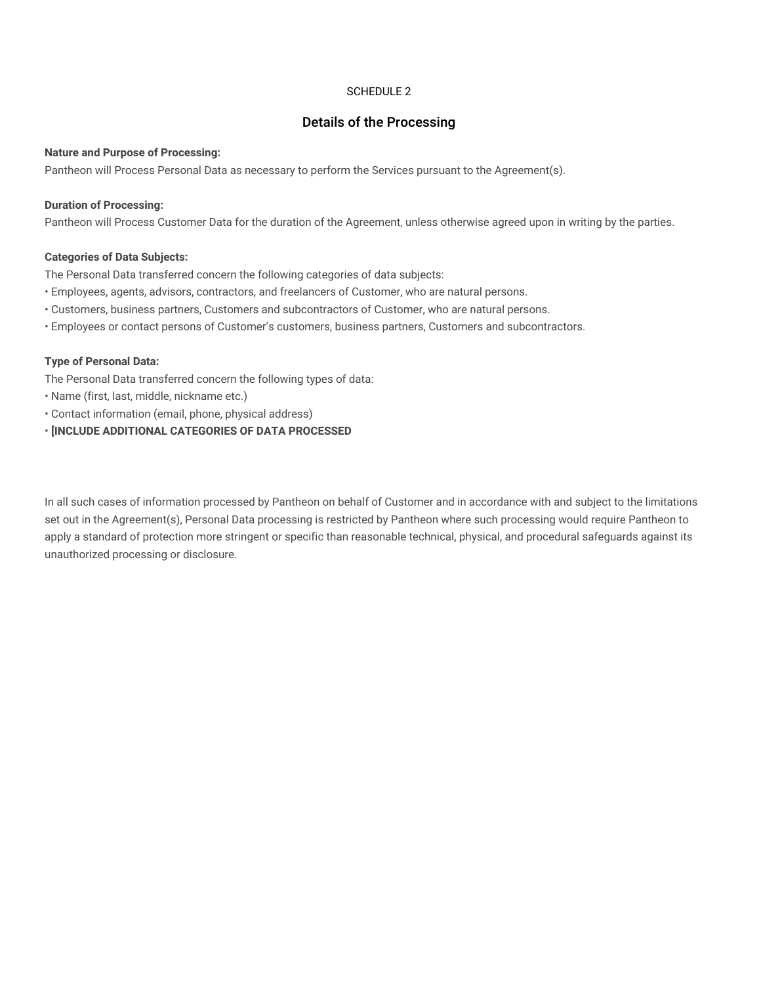#### Details of the Processing

#### **Nature and Purpose of Processing:**

Pantheon will Process Personal Data as necessary to perform the Services pursuant to the Agreement(s).

#### **Duration of Processing:**

Pantheon will Process Customer Data for the duration of the Agreement, unless otherwise agreed upon in writing by the parties.

#### **Categories of Data Subjects:**

The Personal Data transferred concern the following categories of data subjects:

- Employees, agents, advisors, contractors, and freelancers of Customer, who are natural persons.
- Customers, business partners, Customers and subcontractors of Customer, who are natural persons.
- Employees or contact persons of Customer's customers, business partners, Customers and subcontractors.

#### **Type of Personal Data:**

The Personal Data transferred concern the following types of data:

- Name (first, last, middle, nickname etc.)
- Contact information (email, phone, physical address)
- **[INCLUDE ADDITIONAL CATEGORIES OF DATA PROCESSED**

In all such cases of information processed by Pantheon on behalf of Customer and in accordance with and subject to the limitations set out in the Agreement(s), Personal Data processing is restricted by Pantheon where such processing would require Pantheon to apply a standard of protection more stringent or specific than reasonable technical, physical, and procedural safeguards against its unauthorized processing or disclosure.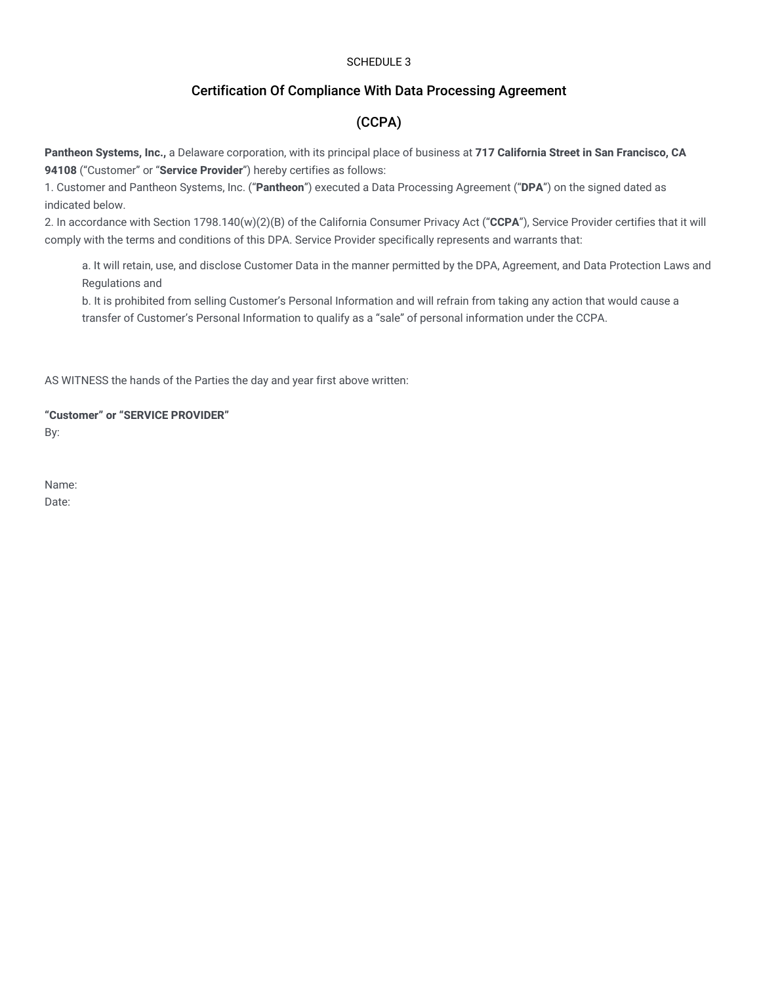#### Certification Of Compliance With Data Processing Agreement

## (CCPA)

**Pantheon Systems, Inc.,** a Delaware corporation, with its principal place of business at **717 California Street in San Francisco, CA 94108** ("Customer" or "**Service Provider**") hereby certifies as follows:

1. Customer and Pantheon Systems, Inc. ("**Pantheon**") executed a Data Processing Agreement ("**DPA**") on the signed dated as indicated below.

2. In accordance with Section 1798.140(w)(2)(B) of the California Consumer Privacy Act ("**CCPA**"), Service Provider certifies that it will comply with the terms and conditions of this DPA. Service Provider specifically represents and warrants that:

a. It will retain, use, and disclose Customer Data in the manner permitted by the DPA, Agreement, and Data Protection Laws and Regulations and

b. It is prohibited from selling Customer's Personal Information and will refrain from taking any action that would cause a transfer of Customer's Personal Information to qualify as a "sale" of personal information under the CCPA.

AS WITNESS the hands of the Parties the day and year first above written:

**"Customer" or "SERVICE PROVIDER"** By:

Name:

Date: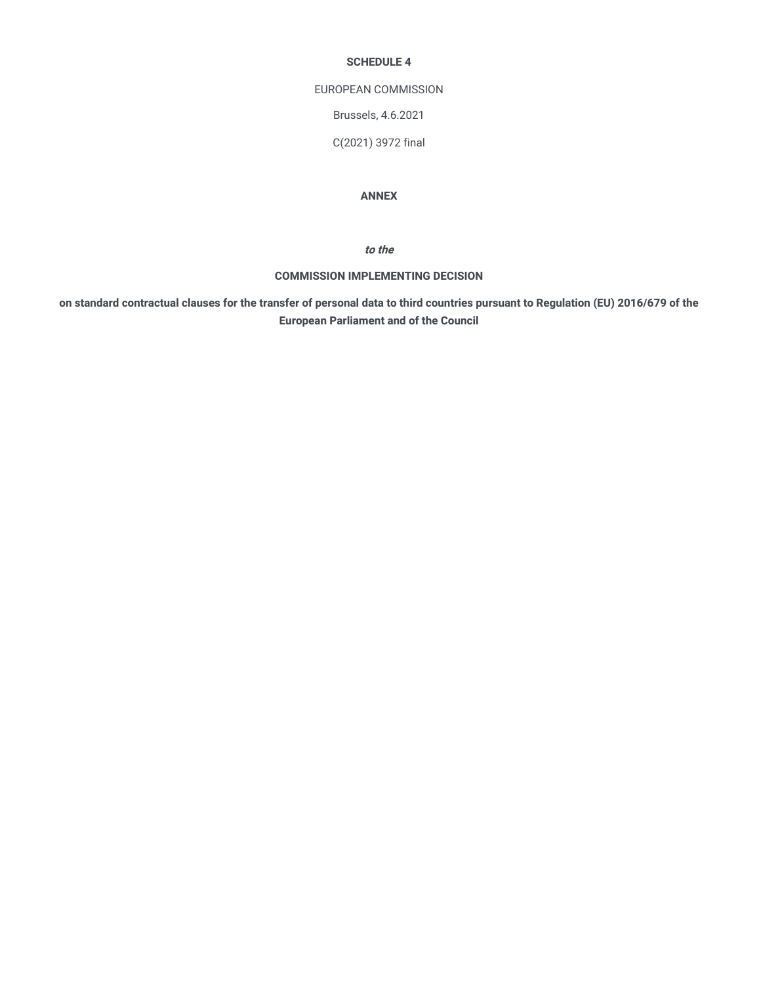#### EUROPEAN COMMISSION

Brussels, 4.6.2021

C(2021) 3972 final

#### **ANNEX**

**to the**

#### **COMMISSION IMPLEMENTING DECISION**

on standard contractual clauses for the transfer of personal data to third countries pursuant to Regulation (EU) 2016/679 of the **European Parliament and of the Council**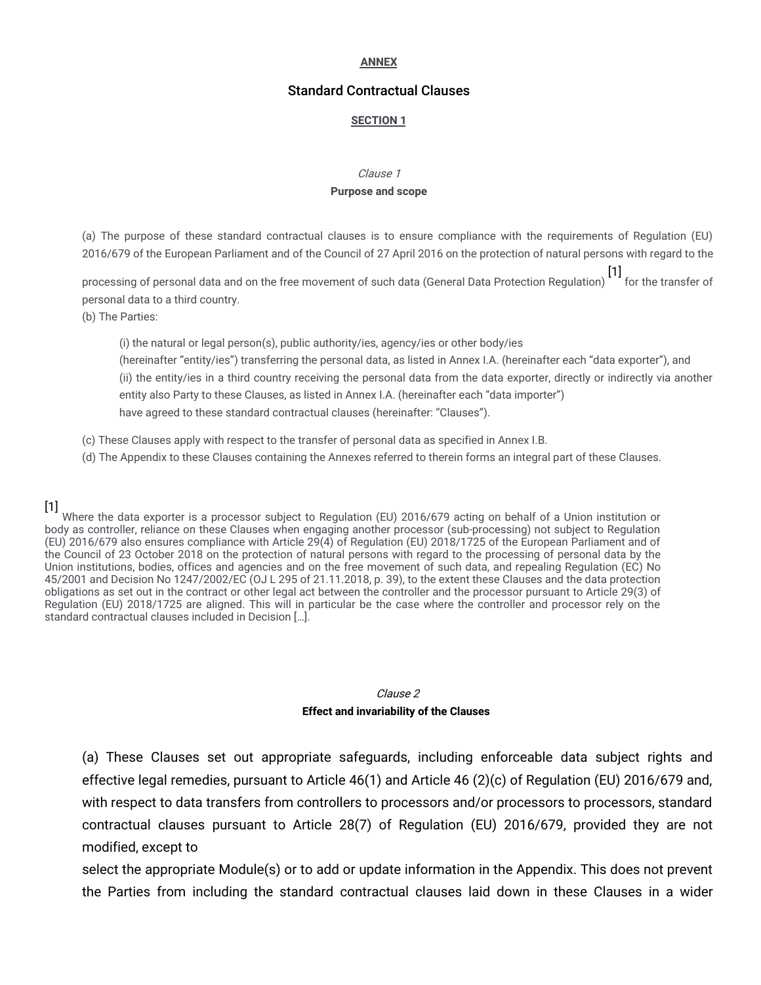#### **ANNEX**

#### Standard Contractual Clauses

#### **SECTION 1**

#### Clause 1 **Purpose and scope**

(a) The purpose of these standard contractual clauses is to ensure compliance with the requirements of Regulation (EU) 2016/679 of the European Parliament and of the Council of 27 April 2016 on the protection of natural persons with regard to the

processing of personal data and on the free movement of such data (General Data Protection Regulation) [1] for the transfer of personal data to a third country.

(b) The Parties:

(i) the natural or legal person(s), public authority/ies, agency/ies or other body/ies

(hereinafter "entity/ies") transferring the personal data, as listed in Annex I.A. (hereinafter each "data exporter"), and (ii) the entity/ies in a third country receiving the personal data from the data exporter, directly or indirectly via another entity also Party to these Clauses, as listed in Annex I.A. (hereinafter each "data importer") have agreed to these standard contractual clauses (hereinafter: "Clauses").

- (c) These Clauses apply with respect to the transfer of personal data as specified in Annex I.B.
- (d) The Appendix to these Clauses containing the Annexes referred to therein forms an integral part of these Clauses.

[1] Where the data exporter is a processor subject to Regulation (EU) 2016/679 acting on behalf of a Union institution or body as controller, reliance on these Clauses when engaging another processor (sub-processing) not subject to Regulation (EU) 2016/679 also ensures compliance with Article 29(4) of Regulation (EU) 2018/1725 of the European Parliament and of the Council of 23 October 2018 on the protection of natural persons with regard to the processing of personal data by the Union institutions, bodies, offices and agencies and on the free movement of such data, and repealing Regulation (EC) No 45/2001 and Decision No 1247/2002/EC (OJ L 295 of 21.11.2018, p. 39), to the extent these Clauses and the data protection obligations as set out in the contract or other legal act between the controller and the processor pursuant to Article 29(3) of Regulation (EU) 2018/1725 are aligned. This will in particular be the case where the controller and processor rely on the standard contractual clauses included in Decision […].

#### Clause 2 **Effect and invariability of the Clauses**

(a) These Clauses set out appropriate safeguards, including enforceable data subject rights and effective legal remedies, pursuant to Article 46(1) and Article 46 (2)(c) of Regulation (EU) 2016/679 and, with respect to data transfers from controllers to processors and/or processors to processors, standard contractual clauses pursuant to Article 28(7) of Regulation (EU) 2016/679, provided they are not modified, except to

select the appropriate Module(s) or to add or update information in the Appendix. This does not prevent the Parties from including the standard contractual clauses laid down in these Clauses in a wider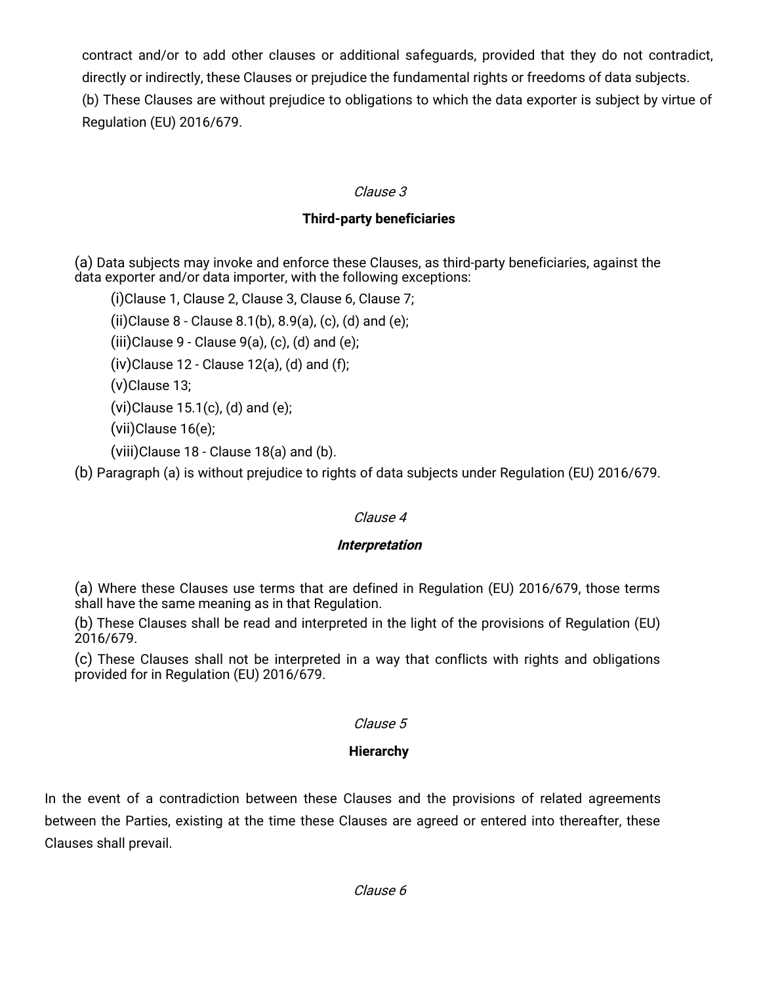contract and/or to add other clauses or additional safeguards, provided that they do not contradict, directly or indirectly, these Clauses or prejudice the fundamental rights or freedoms of data subjects. (b) These Clauses are without prejudice to obligations to which the data exporter is subject by virtue of Regulation (EU) 2016/679.

## Clause 3

## **Third-party beneficiaries**

(a) Data subjects may invoke and enforce these Clauses, as third-party beneficiaries, against the data exporter and/or data importer, with the following exceptions:

(i)Clause 1, Clause 2, Clause 3, Clause 6, Clause 7;

(ii)Clause 8 - Clause 8.1(b), 8.9(a), (c), (d) and (e);

 $(iii)$ Clause 9 - Clause 9(a), (c), (d) and (e);

 $(iv)$ Clause 12 - Clause 12(a), (d) and (f);

(v)Clause 13;

(vi)Clause 15.1(c), (d) and (e);

(vii)Clause 16(e);

(viii)Clause 18 - Clause 18(a) and (b).

(b) Paragraph (a) is without prejudice to rights of data subjects under Regulation (EU) 2016/679.

## Clause 4

## **Interpretation**

(a) Where these Clauses use terms that are defined in Regulation (EU) 2016/679, those terms shall have the same meaning as in that Regulation.

(b) These Clauses shall be read and interpreted in the light of the provisions of Regulation (EU) 2016/679.

(c) These Clauses shall not be interpreted in a way that conflicts with rights and obligations provided for in Regulation (EU) 2016/679.

## Clause 5

## **Hierarchy**

In the event of a contradiction between these Clauses and the provisions of related agreements between the Parties, existing at the time these Clauses are agreed or entered into thereafter, these Clauses shall prevail.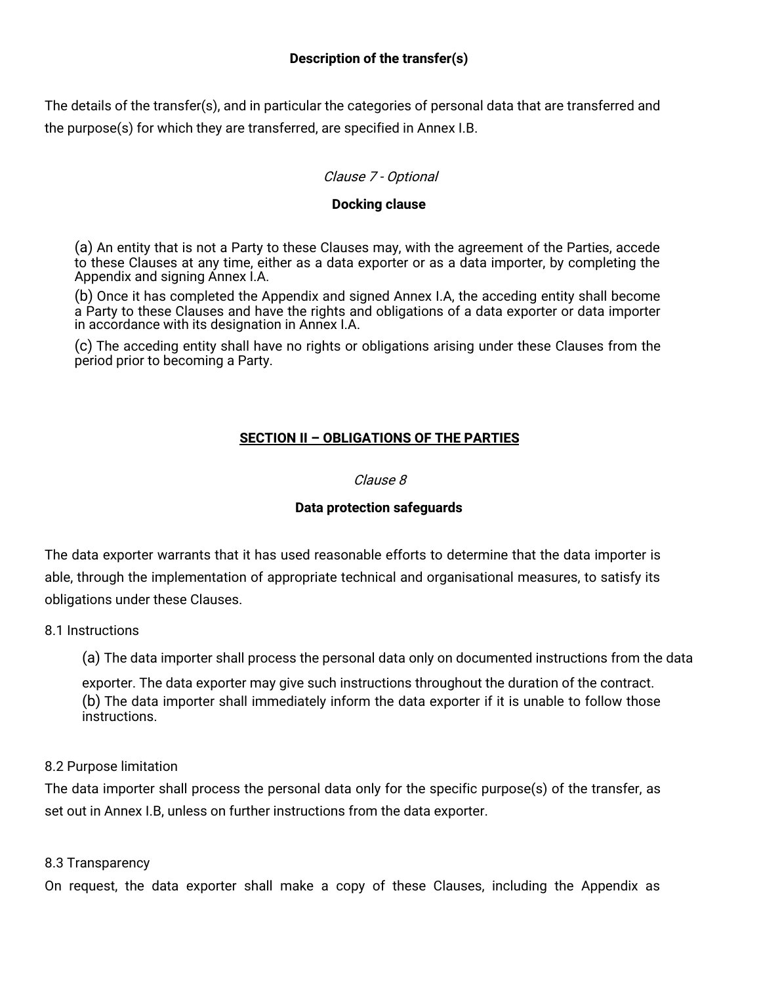The details of the transfer(s), and in particular the categories of personal data that are transferred and the purpose(s) for which they are transferred, are specified in Annex I.B.

## Clause 7 - Optional

## **Docking clause**

(a) An entity that is not a Party to these Clauses may, with the agreement of the Parties, accede to these Clauses at any time, either as a data exporter or as a data importer, by completing the Appendix and signing Annex I.A.

(b) Once it has completed the Appendix and signed Annex I.A, the acceding entity shall become a Party to these Clauses and have the rights and obligations of a data exporter or data importer in accordance with its designation in Annex I.A.

(c) The acceding entity shall have no rights or obligations arising under these Clauses from the period prior to becoming a Party.

## **SECTION II – OBLIGATIONS OF THE PARTIES**

## Clause 8

## **Data protection safeguards**

The data exporter warrants that it has used reasonable efforts to determine that the data importer is able, through the implementation of appropriate technical and organisational measures, to satisfy its obligations under these Clauses.

## 8.1 Instructions

(a) The data importer shall process the personal data only on documented instructions from the data

exporter. The data exporter may give such instructions throughout the duration of the contract. (b) The data importer shall immediately inform the data exporter if it is unable to follow those instructions.

## 8.2 Purpose limitation

The data importer shall process the personal data only for the specific purpose(s) of the transfer, as set out in Annex I.B, unless on further instructions from the data exporter.

## 8.3 Transparency

On request, the data exporter shall make a copy of these Clauses, including the Appendix as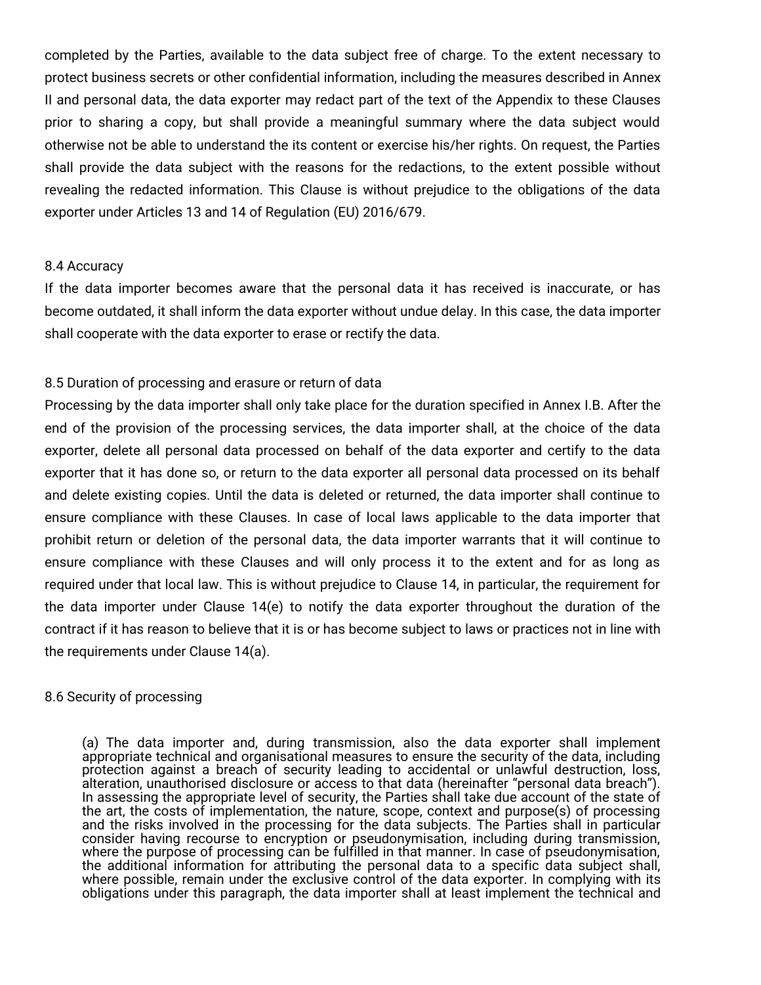completed by the Parties, available to the data subject free of charge. To the extent necessary to protect business secrets or other confidential information, including the measures described in Annex II and personal data, the data exporter may redact part of the text of the Appendix to these Clauses prior to sharing a copy, but shall provide a meaningful summary where the data subject would otherwise not be able to understand the its content or exercise his/her rights. On request, the Parties shall provide the data subject with the reasons for the redactions, to the extent possible without revealing the redacted information. This Clause is without prejudice to the obligations of the data exporter under Articles 13 and 14 of Regulation (EU) 2016/679.

#### 8.4 Accuracy

If the data importer becomes aware that the personal data it has received is inaccurate, or has become outdated, it shall inform the data exporter without undue delay. In this case, the data importer shall cooperate with the data exporter to erase or rectify the data.

#### 8.5 Duration of processing and erasure or return of data

Processing by the data importer shall only take place for the duration specified in Annex I.B. After the end of the provision of the processing services, the data importer shall, at the choice of the data exporter, delete all personal data processed on behalf of the data exporter and certify to the data exporter that it has done so, or return to the data exporter all personal data processed on its behalf and delete existing copies. Until the data is deleted or returned, the data importer shall continue to ensure compliance with these Clauses. In case of local laws applicable to the data importer that prohibit return or deletion of the personal data, the data importer warrants that it will continue to ensure compliance with these Clauses and will only process it to the extent and for as long as required under that local law. This is without prejudice to Clause 14, in particular, the requirement for the data importer under Clause 14(e) to notify the data exporter throughout the duration of the contract if it has reason to believe that it is or has become subject to laws or practices not in line with the requirements under Clause 14(a).

#### 8.6 Security of processing

(a) The data importer and, during transmission, also the data exporter shall implement appropriate technical and organisational measures to ensure the security of the data, including protection against a breach of security leading to accidental or unlawful destruction, loss, alteration, unauthorised disclosure or access to that data (hereinafter "personal data breach"). In assessing the appropriate level of security, the Parties shall take due account of the state of the art, the costs of implementation, the nature, scope, context and purpose(s) of processing and the risks involved in the processing for the data subjects. The Parties shall in particular consider having recourse to encryption or pseudonymisation, including during transmission, where the purpose of processing can be fulfilled in that manner. In case of pseudonymisation, the additional information for attributing the personal data to a specific data subject shall, where possible, remain under the exclusive control of the data exporter. In complying with its obligations under this paragraph, the data importer shall at least implement the technical and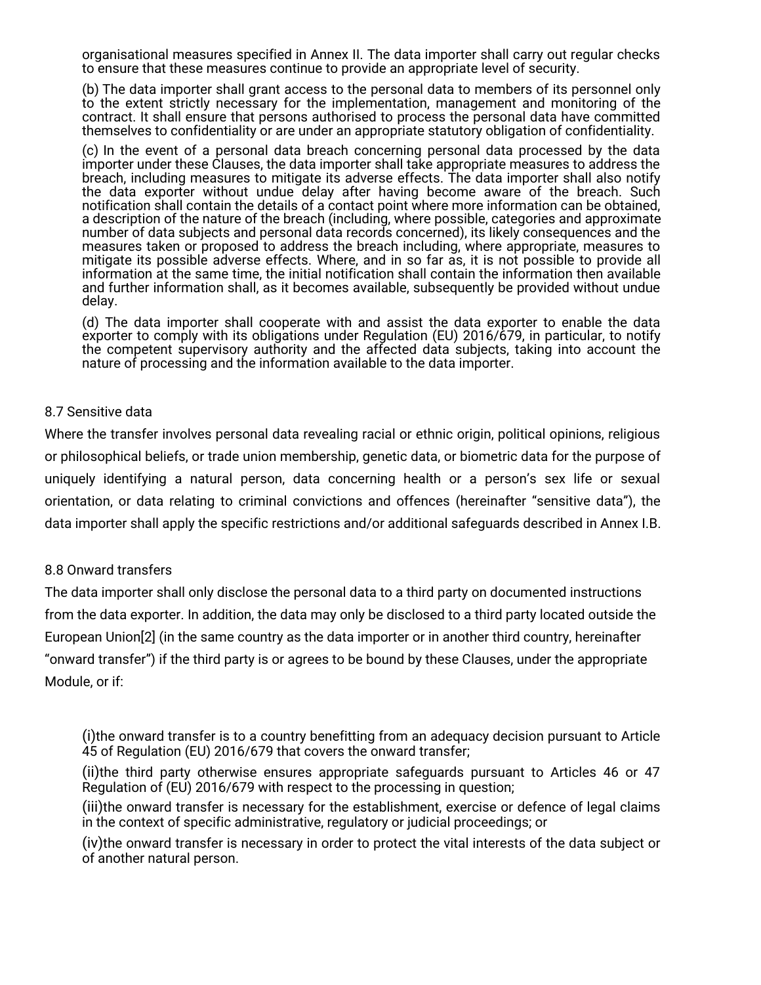organisational measures specified in Annex II. The data importer shall carry out regular checks to ensure that these measures continue to provide an appropriate level of security.

(b) The data importer shall grant access to the personal data to members of its personnel only to the extent strictly necessary for the implementation, management and monitoring of the contract. It shall ensure that persons authorised to process the personal data have committed themselves to confidentiality or are under an appropriate statutory obligation of confidentiality.

(c) In the event of a personal data breach concerning personal data processed by the data importer under these Clauses, the data importer shall take appropriate measures to address the breach, including measures to mitigate its adverse effects. The data importer shall also notify the data exporter without undue delay after having become aware of the breach. Such notification shall contain the details of a contact point where more information can be obtained, a description of the nature of the breach (including, where possible, categories and approximate number of data subjects and personal data records concerned), its likely consequences and the measures taken or proposed to address the breach including, where appropriate, measures to mitigate its possible adverse effects. Where, and in so far as, it is not possible to provide all information at the same time, the initial notification shall contain the information then available and further information shall, as it becomes available, subsequently be provided without undue delay.

(d) The data importer shall cooperate with and assist the data exporter to enable the data exporter to comply with its obligations under Regulation (EU) 2016/679, in particular, to notify the competent supervisory authority and the affected data subjects, taking into account the nature of processing and the information available to the data importer.

#### 8.7 Sensitive data

Where the transfer involves personal data revealing racial or ethnic origin, political opinions, religious or philosophical beliefs, or trade union membership, genetic data, or biometric data for the purpose of uniquely identifying a natural person, data concerning health or a person's sex life or sexual orientation, or data relating to criminal convictions and offences (hereinafter "sensitive data"), the data importer shall apply the specific restrictions and/or additional safeguards described in Annex I.B.

## 8.8 Onward transfers

The data importer shall only disclose the personal data to a third party on documented instructions from the data exporter. In addition, the data may only be disclosed to a third party located outside the European Unio[n\[2\]](#_ftn1) (in the same country as the data importer or in another third country, hereinafter "onward transfer") if the third party is or agrees to be bound by these Clauses, under the appropriate Module, or if:

(i)the onward transfer is to a country benefitting from an adequacy decision pursuant to Article 45 of Regulation (EU) 2016/679 that covers the onward transfer;

(ii)the third party otherwise ensures appropriate safeguards pursuant to Articles 46 or 47 Regulation of (EU) 2016/679 with respect to the processing in question;

(iii)the onward transfer is necessary for the establishment, exercise or defence of legal claims in the context of specific administrative, regulatory or judicial proceedings; or

(iv)the onward transfer is necessary in order to protect the vital interests of the data subject or of another natural person.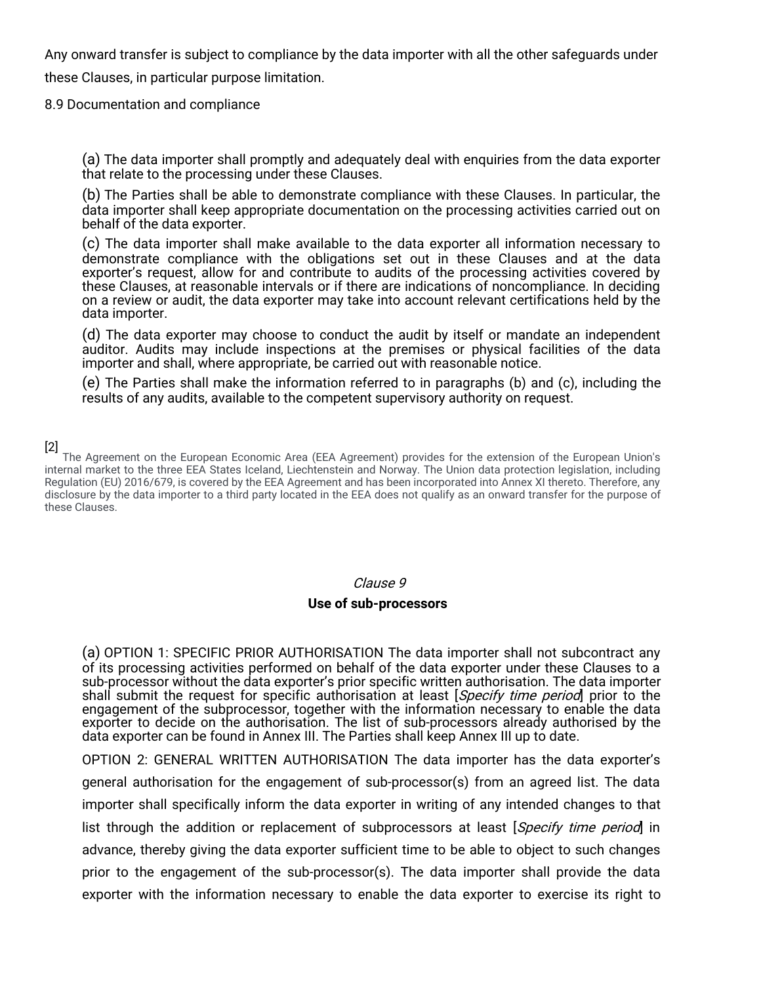Any onward transfer is subject to compliance by the data importer with all the other safeguards under these Clauses, in particular purpose limitation.

8.9 Documentation and compliance

(a) The data importer shall promptly and adequately deal with enquiries from the data exporter that relate to the processing under these Clauses.

(b) The Parties shall be able to demonstrate compliance with these Clauses. In particular, the data importer shall keep appropriate documentation on the processing activities carried out on behalf of the data exporter.

(c) The data importer shall make available to the data exporter all information necessary to demonstrate compliance with the obligations set out in these Clauses and at the data exporter's request, allow for and contribute to audits of the processing activities covered by these Clauses, at reasonable intervals or if there are indications of noncompliance. In deciding on a review or audit, the data exporter may take into account relevant certifications held by the data importer.

(d) The data exporter may choose to conduct the audit by itself or mandate an independent auditor. Audits may include inspections at the premises or physical facilities of the data importer and shall, where appropriate, be carried out with reasonable notice.

(e) The Parties shall make the information referred to in paragraphs (b) and (c), including the results of any audits, available to the competent supervisory authority on request.

## [2]

The Agreement on the European Economic Area (EEA Agreement) provides for the extension of the European Union's internal market to the three EEA States Iceland, Liechtenstein and Norway. The Union data protection legislation, including Regulation (EU) 2016/679, is covered by the EEA Agreement and has been incorporated into Annex XI thereto. Therefore, any disclosure by the data importer to a third party located in the EEA does not qualify as an onward transfer for the purpose of these Clauses.

#### Clause 9

#### **Use of sub-processors**

(a) OPTION 1: SPECIFIC PRIOR AUTHORISATION The data importer shall not subcontract any of its processing activities performed on behalf of the data exporter under these Clauses to a sub-processor without the data exporter's prior specific written authorisation. The data importer shall submit the request for specific authorisation at least [Specify time period] prior to the engagement of the subprocessor, together with the information necessary to enable the data exporter to decide on the authorisation. The list of sub-processors already authorised by the data exporter can be found in Annex III. The Parties shall keep Annex III up to date.

OPTION 2: GENERAL WRITTEN AUTHORISATION The data importer has the data exporter's general authorisation for the engagement of sub-processor(s) from an agreed list. The data importer shall specifically inform the data exporter in writing of any intended changes to that list through the addition or replacement of subprocessors at least *Specify time period* in advance, thereby giving the data exporter sufficient time to be able to object to such changes prior to the engagement of the sub-processor(s). The data importer shall provide the data exporter with the information necessary to enable the data exporter to exercise its right to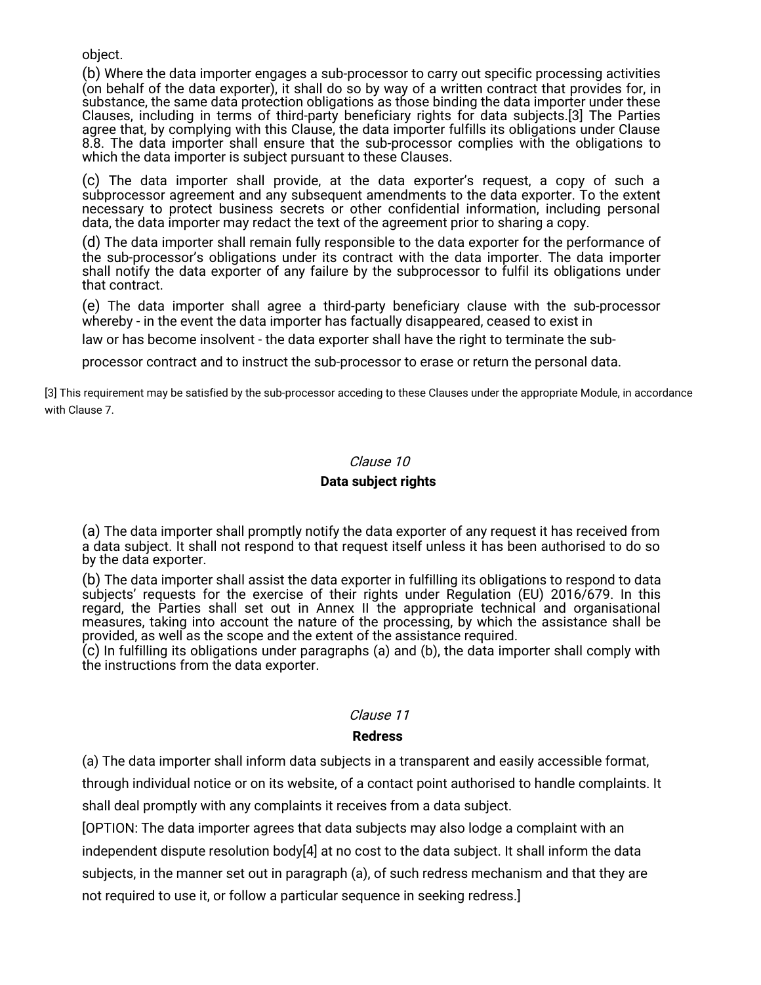object.

(b) Where the data importer engages a sub-processor to carry out specific processing activities (on behalf of the data exporter), it shall do so by way of a written contract that provides for, in substance, the same data protection obligations as those binding the data importer under these Clauses, including in terms of third-party beneficiary rights for data subjects[.\[3\]](#_ftn2) The Parties agree that, by complying with this Clause, the data importer fulfills its obligations under Clause 8.8. The data importer shall ensure that the sub-processor complies with the obligations to which the data importer is subject pursuant to these Clauses.

(c) The data importer shall provide, at the data exporter's request, a copy of such a subprocessor agreement and any subsequent amendments to the data exporter. To the extent necessary to protect business secrets or other confidential information, including personal data, the data importer may redact the text of the agreement prior to sharing a copy.

(d) The data importer shall remain fully responsible to the data exporter for the performance of the sub-processor's obligations under its contract with the data importer. The data importer shall notify the data exporter of any failure by the subprocessor to fulfil its obligations under that contract.

(e) The data importer shall agree a third-party beneficiary clause with the sub-processor whereby - in the event the data importer has factually disappeared, ceased to exist in

law or has become insolvent - the data exporter shall have the right to terminate the sub-

processor contract and to instruct the sub-processor to erase or return the personal data.

[3] This requirement may be satisfied by the sub-processor acceding to these Clauses under the appropriate Module, in accordance with Clause 7.

#### Clause 10

#### **Data subject rights**

(a) The data importer shall promptly notify the data exporter of any request it has received from a data subject. It shall not respond to that request itself unless it has been authorised to do so by the data exporter.

(b) The data importer shall assist the data exporter in fulfilling its obligations to respond to data subjects' requests for the exercise of their rights under Regulation (EU) 2016/679. In this regard, the Parties shall set out in Annex II the appropriate technical and organisational measures, taking into account the nature of the processing, by which the assistance shall be provided, as well as the scope and the extent of the assistance required.

(c) In fulfilling its obligations under paragraphs (a) and (b), the data importer shall comply with the instructions from the data exporter.

## Clause 11

## **Redress**

(a) The data importer shall inform data subjects in a transparent and easily accessible format,

through individual notice or on its website, of a contact point authorised to handle complaints. It

shall deal promptly with any complaints it receives from a data subject.

[OPTION: The data importer agrees that data subjects may also lodge a complaint with an independent dispute resolution bod[y\[4\]](#_ftn3) at no cost to the data subject. It shall inform the data subjects, in the manner set out in paragraph (a), of such redress mechanism and that they are not required to use it, or follow a particular sequence in seeking redress.]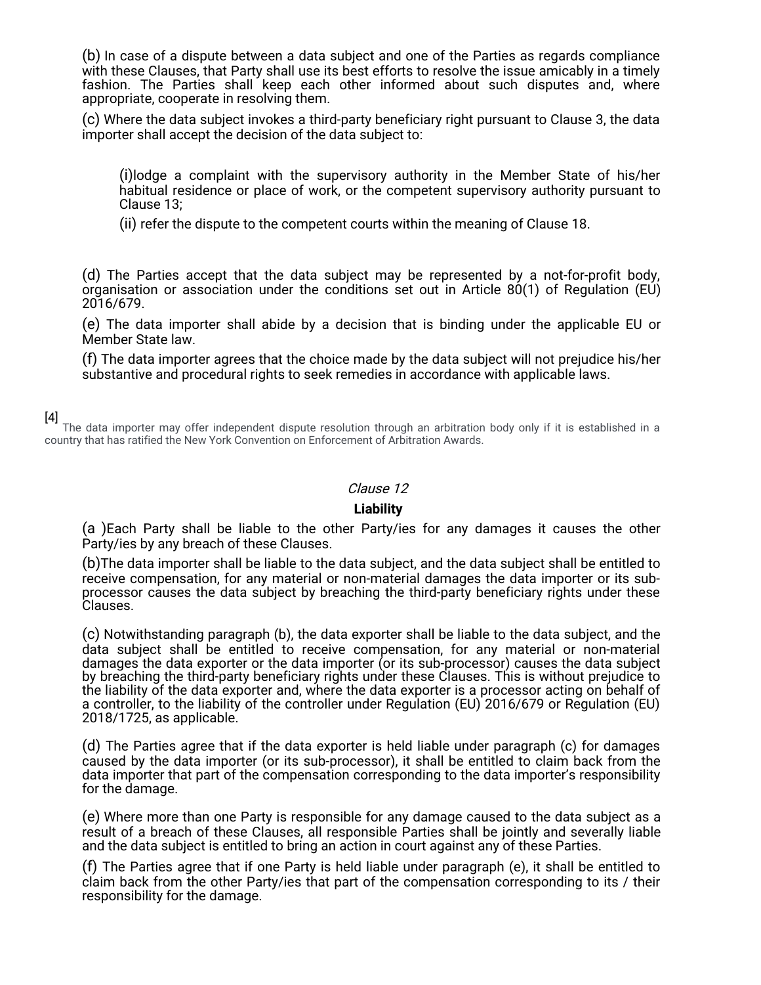(b) In case of a dispute between a data subject and one of the Parties as regards compliance with these Clauses, that Party shall use its best efforts to resolve the issue amicably in a timely fashion. The Parties shall keep each other informed about such disputes and, where appropriate, cooperate in resolving them.

(c) Where the data subject invokes a third-party beneficiary right pursuant to Clause 3, the data importer shall accept the decision of the data subject to:

(i)lodge a complaint with the supervisory authority in the Member State of his/her habitual residence or place of work, or the competent supervisory authority pursuant to Clause 13;

(ii) refer the dispute to the competent courts within the meaning of Clause 18.

(d) The Parties accept that the data subject may be represented by a not-for-profit body, organisation or association under the conditions set out in Article 80(1) of Regulation (EU) 2016/679.

(e) The data importer shall abide by a decision that is binding under the applicable EU or Member State law.

(f) The data importer agrees that the choice made by the data subject will not prejudice his/her substantive and procedural rights to seek remedies in accordance with applicable laws.

[4]

The data importer may offer independent dispute resolution through an arbitration body only if it is established in a country that has ratified the New York Convention on Enforcement of Arbitration Awards.

#### Clause 12

#### **Liability**

(a )Each Party shall be liable to the other Party/ies for any damages it causes the other Party/ies by any breach of these Clauses.

(b)The data importer shall be liable to the data subject, and the data subject shall be entitled to receive compensation, for any material or non-material damages the data importer or its subprocessor causes the data subject by breaching the third-party beneficiary rights under these Clauses.

(c) Notwithstanding paragraph (b), the data exporter shall be liable to the data subject, and the data subject shall be entitled to receive compensation, for any material or non-material damages the data exporter or the data importer (or its sub-processor) causes the data subject by breaching the third-party beneficiary rights under these Clauses. This is without prejudice to the liability of the data exporter and, where the data exporter is a processor acting on behalf of a controller, to the liability of the controller under Regulation (EU) 2016/679 or Regulation (EU) 2018/1725, as applicable.

(d) The Parties agree that if the data exporter is held liable under paragraph (c) for damages caused by the data importer (or its sub-processor), it shall be entitled to claim back from the data importer that part of the compensation corresponding to the data importer's responsibility for the damage.

(e) Where more than one Party is responsible for any damage caused to the data subject as a result of a breach of these Clauses, all responsible Parties shall be jointly and severally liable and the data subject is entitled to bring an action in court against any of these Parties.

(f) The Parties agree that if one Party is held liable under paragraph (e), it shall be entitled to claim back from the other Party/ies that part of the compensation corresponding to its / their responsibility for the damage.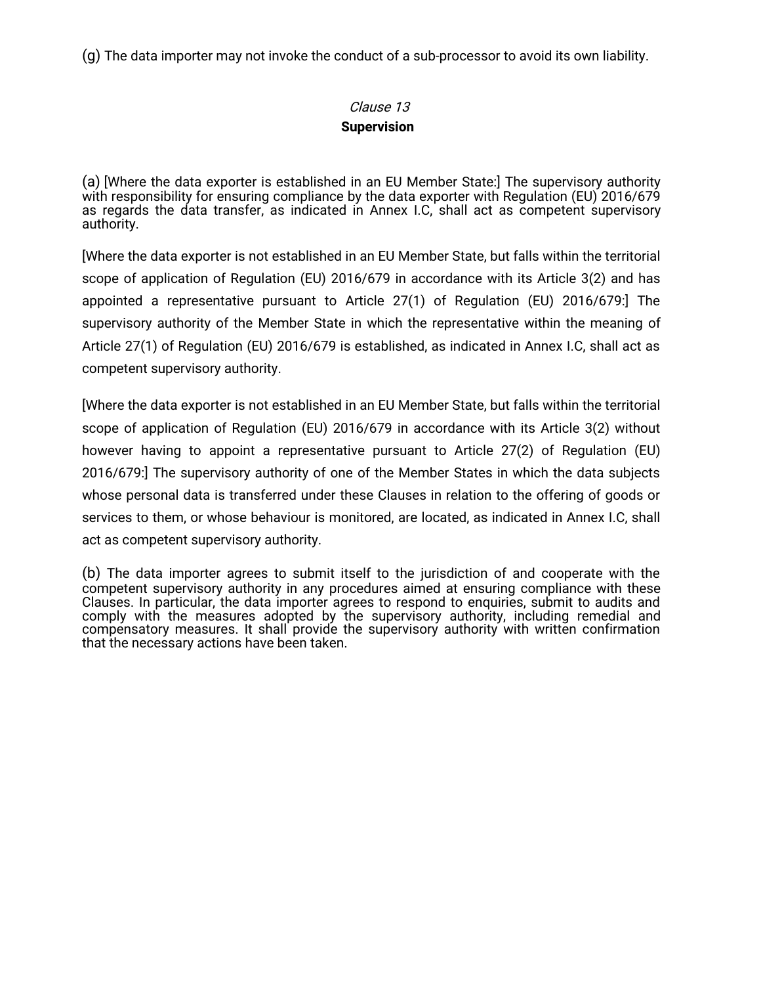(g) The data importer may not invoke the conduct of a sub-processor to avoid its own liability.

# Clause 13

## **Supervision**

(a) [Where the data exporter is established in an EU Member State:] The supervisory authority with responsibility for ensuring compliance by the data exporter with Regulation (EU) 2016/679 as regards the data transfer, as indicated in Annex I.C, shall act as competent supervisory authority.

[Where the data exporter is not established in an EU Member State, but falls within the territorial scope of application of Regulation (EU) 2016/679 in accordance with its Article 3(2) and has appointed a representative pursuant to Article 27(1) of Regulation (EU) 2016/679:] The supervisory authority of the Member State in which the representative within the meaning of Article 27(1) of Regulation (EU) 2016/679 is established, as indicated in Annex I.C, shall act as competent supervisory authority.

[Where the data exporter is not established in an EU Member State, but falls within the territorial scope of application of Regulation (EU) 2016/679 in accordance with its Article 3(2) without however having to appoint a representative pursuant to Article 27(2) of Regulation (EU) 2016/679:] The supervisory authority of one of the Member States in which the data subjects whose personal data is transferred under these Clauses in relation to the offering of goods or services to them, or whose behaviour is monitored, are located, as indicated in Annex I.C, shall act as competent supervisory authority.

(b) The data importer agrees to submit itself to the jurisdiction of and cooperate with the competent supervisory authority in any procedures aimed at ensuring compliance with these Clauses. In particular, the data importer agrees to respond to enquiries, submit to audits and comply with the measures adopted by the supervisory authority, including remedial and compensatory measures. It shall provide the supervisory authority with written confirmation that the necessary actions have been taken.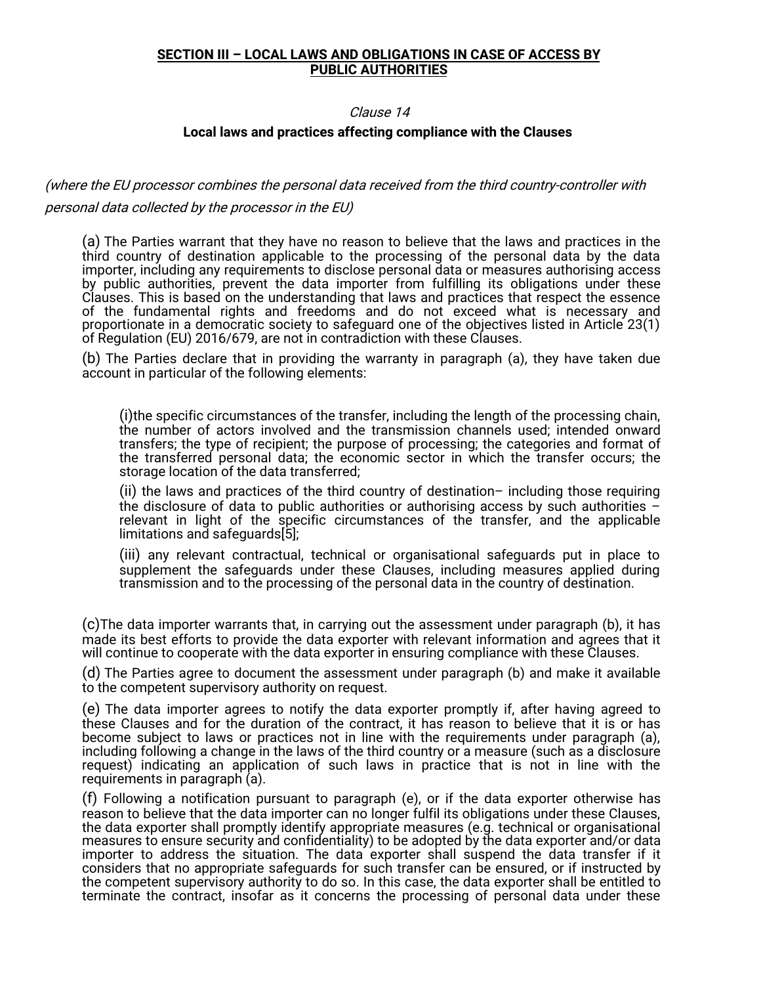#### **SECTION III – LOCAL LAWS AND OBLIGATIONS IN CASE OF ACCESS BY PUBLIC AUTHORITIES**

#### Clause 14

#### **Local laws and practices affecting compliance with the Clauses**

(where the EU processor combines the personal data received from the third country-controller with personal data collected by the processor in the EU)

(a) The Parties warrant that they have no reason to believe that the laws and practices in the third country of destination applicable to the processing of the personal data by the data importer, including any requirements to disclose personal data or measures authorising access by public authorities, prevent the data importer from fulfilling its obligations under these Clauses. This is based on the understanding that laws and practices that respect the essence of the fundamental rights and freedoms and do not exceed what is necessary and proportionate in a democratic society to safeguard one of the objectives listed in Article 23(1) of Regulation (EU) 2016/679, are not in contradiction with these Clauses.

(b) The Parties declare that in providing the warranty in paragraph (a), they have taken due account in particular of the following elements:

(i)the specific circumstances of the transfer, including the length of the processing chain, the number of actors involved and the transmission channels used; intended onward transfers; the type of recipient; the purpose of processing; the categories and format of the transferred personal data; the economic sector in which the transfer occurs; the storage location of the data transferred;

(ii) the laws and practices of the third country of destination– including those requiring the disclosure of data to public authorities or authorising access by such authorities – relevant in light of the specific circumstances of the transfer, and the applicable limitations and safeguard[s\[5\];](#_ftn4)

(iii) any relevant contractual, technical or organisational safeguards put in place to supplement the safeguards under these Clauses, including measures applied during transmission and to the processing of the personal data in the country of destination.

(c)The data importer warrants that, in carrying out the assessment under paragraph (b), it has made its best efforts to provide the data exporter with relevant information and agrees that it will continue to cooperate with the data exporter in ensuring compliance with these Clauses.

(d) The Parties agree to document the assessment under paragraph (b) and make it available to the competent supervisory authority on request.

(e) The data importer agrees to notify the data exporter promptly if, after having agreed to these Clauses and for the duration of the contract, it has reason to believe that it is or has become subject to laws or practices not in line with the requirements under paragraph (a), including following a change in the laws of the third country or a measure (such as a disclosure request) indicating an application of such laws in practice that is not in line with the requirements in paragraph (a).

(f) Following a notification pursuant to paragraph (e), or if the data exporter otherwise has reason to believe that the data importer can no longer fulfil its obligations under these Clauses, the data exporter shall promptly identify appropriate measures (e.g. technical or organisational measures to ensure security and confidentiality) to be adopted by the data exporter and/or data importer to address the situation. The data exporter shall suspend the data transfer if it considers that no appropriate safeguards for such transfer can be ensured, or if instructed by the competent supervisory authority to do so. In this case, the data exporter shall be entitled to terminate the contract, insofar as it concerns the processing of personal data under these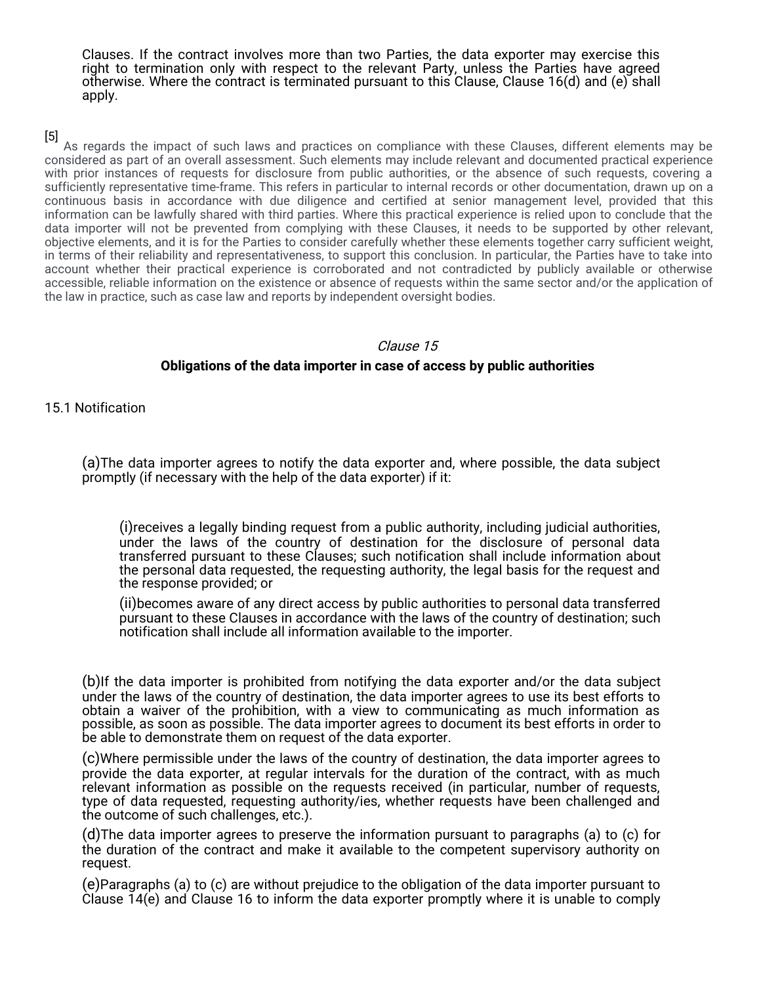Clauses. If the contract involves more than two Parties, the data exporter may exercise this right to termination only with respect to the relevant Party, unless the Parties have agreed otherwise. Where the contract is terminated pursuant to this Clause, Clause 16(d) and (e) shall apply.

## [5]

As regards the impact of such laws and practices on compliance with these Clauses, different elements may be considered as part of an overall assessment. Such elements may include relevant and documented practical experience with prior instances of requests for disclosure from public authorities, or the absence of such requests, covering a sufficiently representative time-frame. This refers in particular to internal records or other documentation, drawn up on a continuous basis in accordance with due diligence and certified at senior management level, provided that this information can be lawfully shared with third parties. Where this practical experience is relied upon to conclude that the data importer will not be prevented from complying with these Clauses, it needs to be supported by other relevant, objective elements, and it is for the Parties to consider carefully whether these elements together carry sufficient weight, in terms of their reliability and representativeness, to support this conclusion. In particular, the Parties have to take into account whether their practical experience is corroborated and not contradicted by publicly available or otherwise accessible, reliable information on the existence or absence of requests within the same sector and/or the application of the law in practice, such as case law and reports by independent oversight bodies.

#### Clause 15

#### **Obligations of the data importer in case of access by public authorities**

15.1 Notification

(a)The data importer agrees to notify the data exporter and, where possible, the data subject promptly (if necessary with the help of the data exporter) if it:

(i)receives a legally binding request from a public authority, including judicial authorities, under the laws of the country of destination for the disclosure of personal data transferred pursuant to these Clauses; such notification shall include information about the personal data requested, the requesting authority, the legal basis for the request and the response provided; or

(ii)becomes aware of any direct access by public authorities to personal data transferred pursuant to these Clauses in accordance with the laws of the country of destination; such notification shall include all information available to the importer.

(b)If the data importer is prohibited from notifying the data exporter and/or the data subject under the laws of the country of destination, the data importer agrees to use its best efforts to obtain a waiver of the prohibition, with a view to communicating as much information as possible, as soon as possible. The data importer agrees to document its best efforts in order to be able to demonstrate them on request of the data exporter.

(c)Where permissible under the laws of the country of destination, the data importer agrees to provide the data exporter, at regular intervals for the duration of the contract, with as much relevant information as possible on the requests received (in particular, number of requests, type of data requested, requesting authority/ies, whether requests have been challenged and the outcome of such challenges, etc.).

(d)The data importer agrees to preserve the information pursuant to paragraphs (a) to (c) for the duration of the contract and make it available to the competent supervisory authority on request.

(e)Paragraphs (a) to (c) are without prejudice to the obligation of the data importer pursuant to Clause 14(e) and Clause 16 to inform the data exporter promptly where it is unable to comply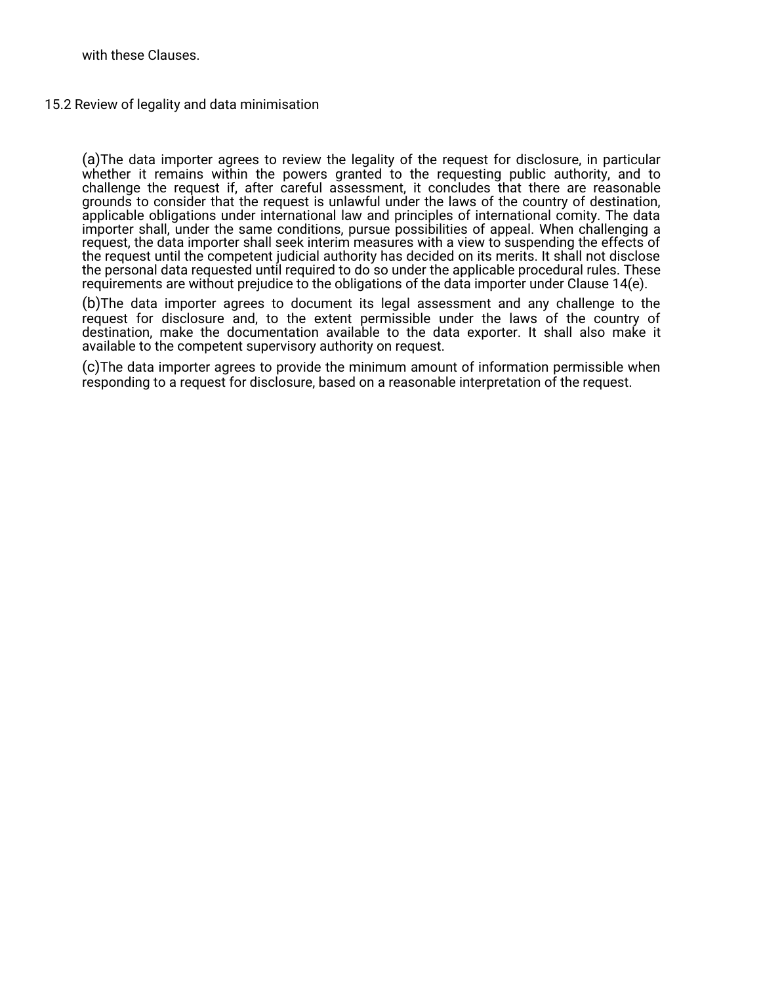with these Clauses.

15.2 Review of legality and data minimisation

(a)The data importer agrees to review the legality of the request for disclosure, in particular whether it remains within the powers granted to the requesting public authority, and to challenge the request if, after careful assessment, it concludes that there are reasonable grounds to consider that the request is unlawful under the laws of the country of destination, applicable obligations under international law and principles of international comity. The data importer shall, under the same conditions, pursue possibilities of appeal. When challenging a request, the data importer shall seek interim measures with a view to suspending the effects of the request until the competent judicial authority has decided on its merits. It shall not disclose the personal data requested until required to do so under the applicable procedural rules. These requirements are without prejudice to the obligations of the data importer under Clause 14(e).

(b)The data importer agrees to document its legal assessment and any challenge to the request for disclosure and, to the extent permissible under the laws of the country of destination, make the documentation available to the data exporter. It shall also make it available to the competent supervisory authority on request.

(c)The data importer agrees to provide the minimum amount of information permissible when responding to a request for disclosure, based on a reasonable interpretation of the request.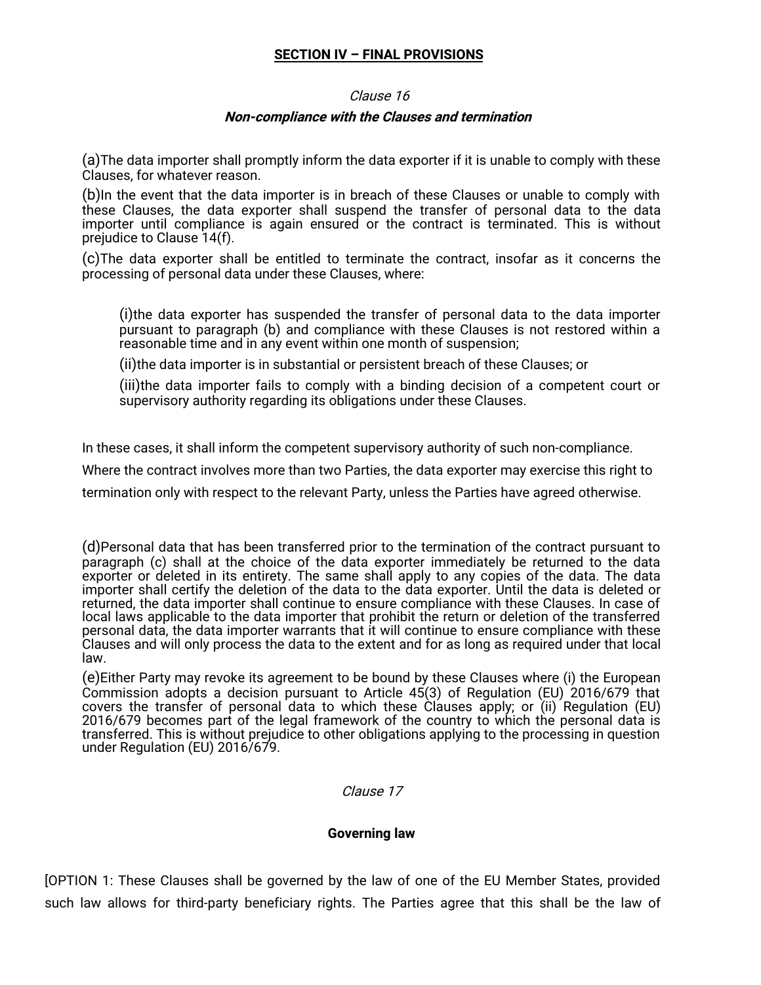## **SECTION IV – FINAL PROVISIONS**

#### Clause 16

#### **Non-compliance with the Clauses and termination**

(a)The data importer shall promptly inform the data exporter if it is unable to comply with these Clauses, for whatever reason.

(b)In the event that the data importer is in breach of these Clauses or unable to comply with these Clauses, the data exporter shall suspend the transfer of personal data to the data importer until compliance is again ensured or the contract is terminated. This is without prejudice to Clause 14(f).

(c)The data exporter shall be entitled to terminate the contract, insofar as it concerns the processing of personal data under these Clauses, where:

(i)the data exporter has suspended the transfer of personal data to the data importer pursuant to paragraph (b) and compliance with these Clauses is not restored within a reasonable time and in any event within one month of suspension;

(ii)the data importer is in substantial or persistent breach of these Clauses; or

(iii)the data importer fails to comply with a binding decision of a competent court or supervisory authority regarding its obligations under these Clauses.

In these cases, it shall inform the competent supervisory authority of such non-compliance.

Where the contract involves more than two Parties, the data exporter may exercise this right to

termination only with respect to the relevant Party, unless the Parties have agreed otherwise.

(d)Personal data that has been transferred prior to the termination of the contract pursuant to paragraph (c) shall at the choice of the data exporter immediately be returned to the data exporter or deleted in its entirety. The same shall apply to any copies of the data. The data importer shall certify the deletion of the data to the data exporter. Until the data is deleted or returned, the data importer shall continue to ensure compliance with these Clauses. In case of local laws applicable to the data importer that prohibit the return or deletion of the transferred personal data, the data importer warrants that it will continue to ensure compliance with these Clauses and will only process the data to the extent and for as long as required under that local law.

(e)Either Party may revoke its agreement to be bound by these Clauses where (i) the European Commission adopts a decision pursuant to Article 45(3) of Regulation (EU) 2016/679 that covers the transfer of personal data to which these Clauses apply; or  $(i)$  Regulation (EU) 2016/679 becomes part of the legal framework of the country to which the personal data is transferred. This is without prejudice to other obligations applying to the processing in question under Regulation (EU) 2016/679.

## Clause 17

#### **Governing law**

[OPTION 1: These Clauses shall be governed by the law of one of the EU Member States, provided such law allows for third-party beneficiary rights. The Parties agree that this shall be the law of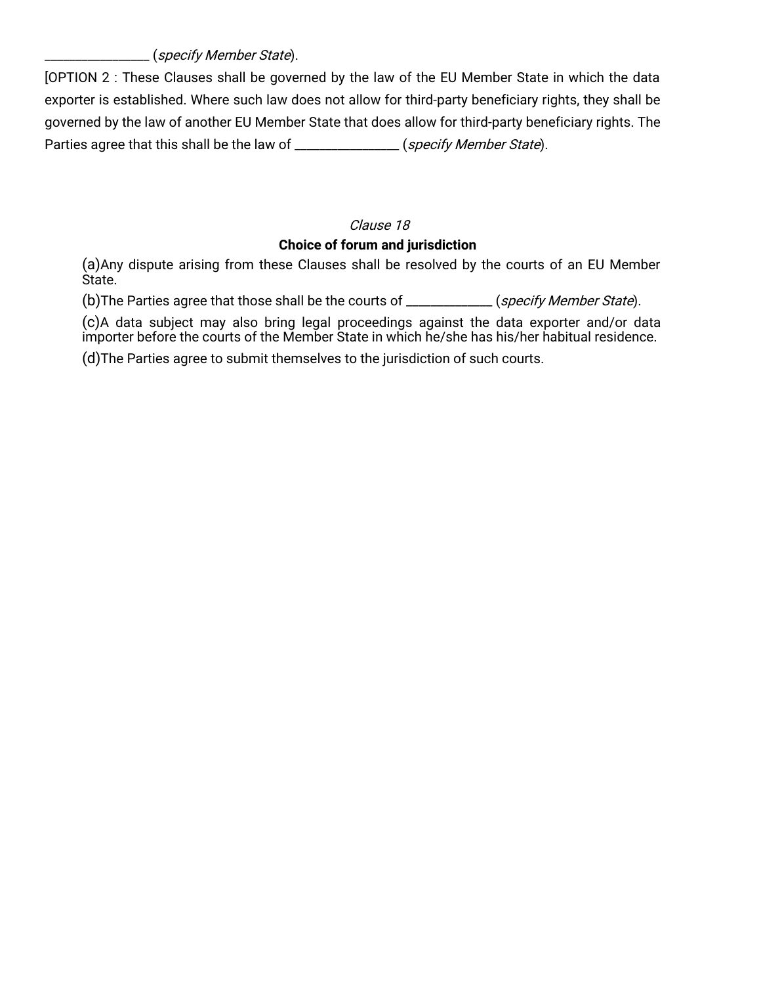## \_\_\_\_\_\_\_\_\_\_\_\_\_\_\_\_\_ (specify Member State).

[OPTION 2 : These Clauses shall be governed by the law of the EU Member State in which the data exporter is established. Where such law does not allow for third-party beneficiary rights, they shall be governed by the law of another EU Member State that does allow for third-party beneficiary rights. The Parties agree that this shall be the law of \_\_\_\_\_\_\_\_\_\_\_\_\_\_\_\_ (specify Member State).

## Clause 18

## **Choice of forum and jurisdiction**

(a)Any dispute arising from these Clauses shall be resolved by the courts of an EU Member State.

(b) The Parties agree that those shall be the courts of \_\_\_\_\_\_\_\_\_\_\_\_\_ (specify Member State).

(c)A data subject may also bring legal proceedings against the data exporter and/or data importer before the courts of the Member State in which he/she has his/her habitual residence.

(d)The Parties agree to submit themselves to the jurisdiction of such courts.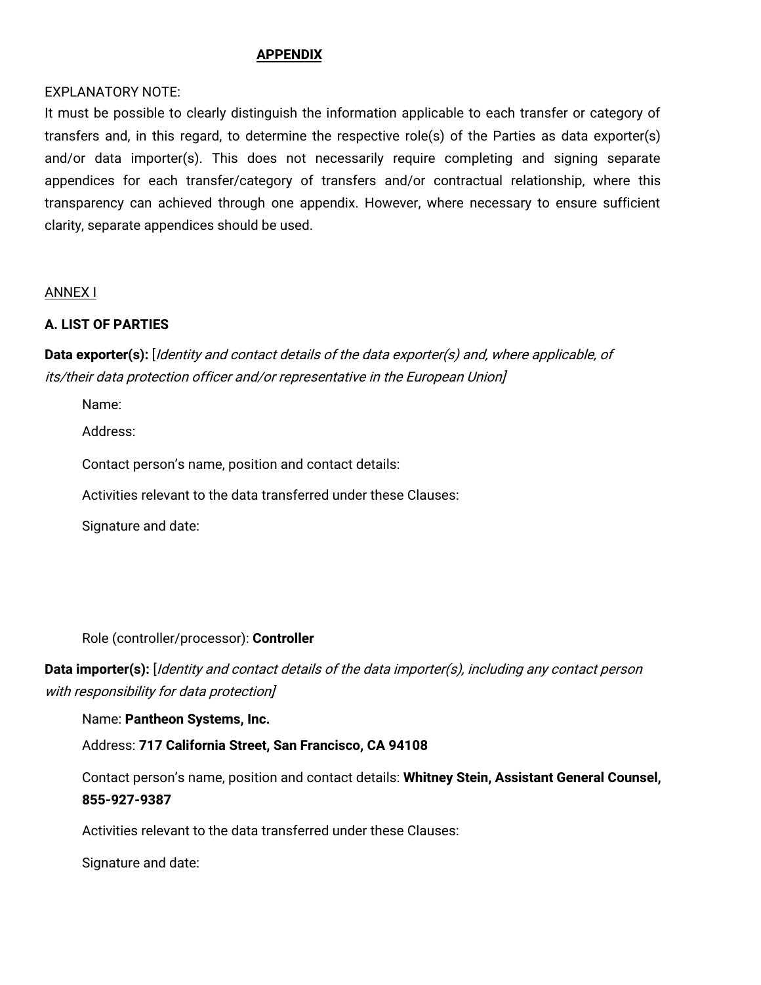## **APPENDIX**

#### EXPLANATORY NOTE:

It must be possible to clearly distinguish the information applicable to each transfer or category of transfers and, in this regard, to determine the respective role(s) of the Parties as data exporter(s) and/or data importer(s). This does not necessarily require completing and signing separate appendices for each transfer/category of transfers and/or contractual relationship, where this transparency can achieved through one appendix. However, where necessary to ensure sufficient clarity, separate appendices should be used.

#### ANNEX I

## **A. LIST OF PARTIES**

**Data exporter(s):** [Identity and contact details of the data exporter(s) and, where applicable, of its/their data protection officer and/or representative in the European Union]

Name:

Address:

Contact person's name, position and contact details:

Activities relevant to the data transferred under these Clauses:

Signature and date:

Role (controller/processor): **Controller**

**Data importer(s):** [Identity and contact details of the data importer(s), including any contact person with responsibility for data protection]

Name: **Pantheon Systems, Inc.**

Address: **717 California Street, San Francisco, CA 94108**

Contact person's name, position and contact details: **Whitney Stein, Assistant General Counsel, 855-927-9387**

Activities relevant to the data transferred under these Clauses:

Signature and date: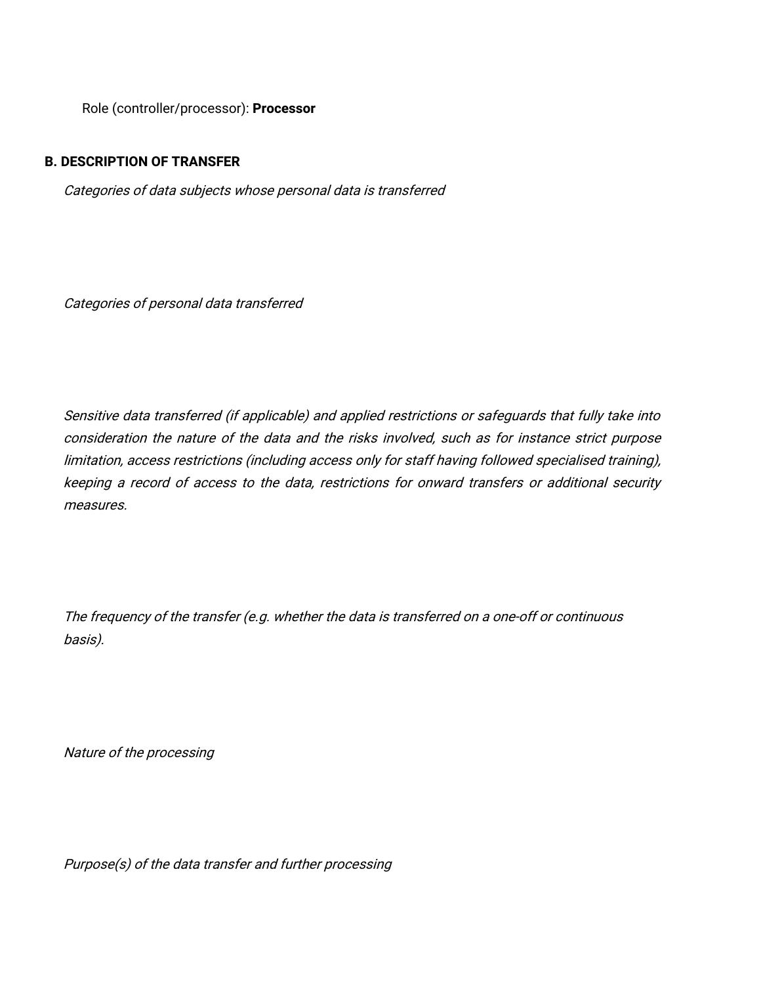Role (controller/processor): **Processor**

#### **B. DESCRIPTION OF TRANSFER**

Categories of data subjects whose personal data is transferred

Categories of personal data transferred

Sensitive data transferred (if applicable) and applied restrictions or safeguards that fully take into consideration the nature of the data and the risks involved, such as for instance strict purpose limitation, access restrictions (including access only for staff having followed specialised training), keeping <sup>a</sup> record of access to the data, restrictions for onward transfers or additional security measures.

The frequency of the transfer (e.g. whether the data is transferred on <sup>a</sup> one-off or continuous basis).

Nature of the processing

Purpose(s) of the data transfer and further processing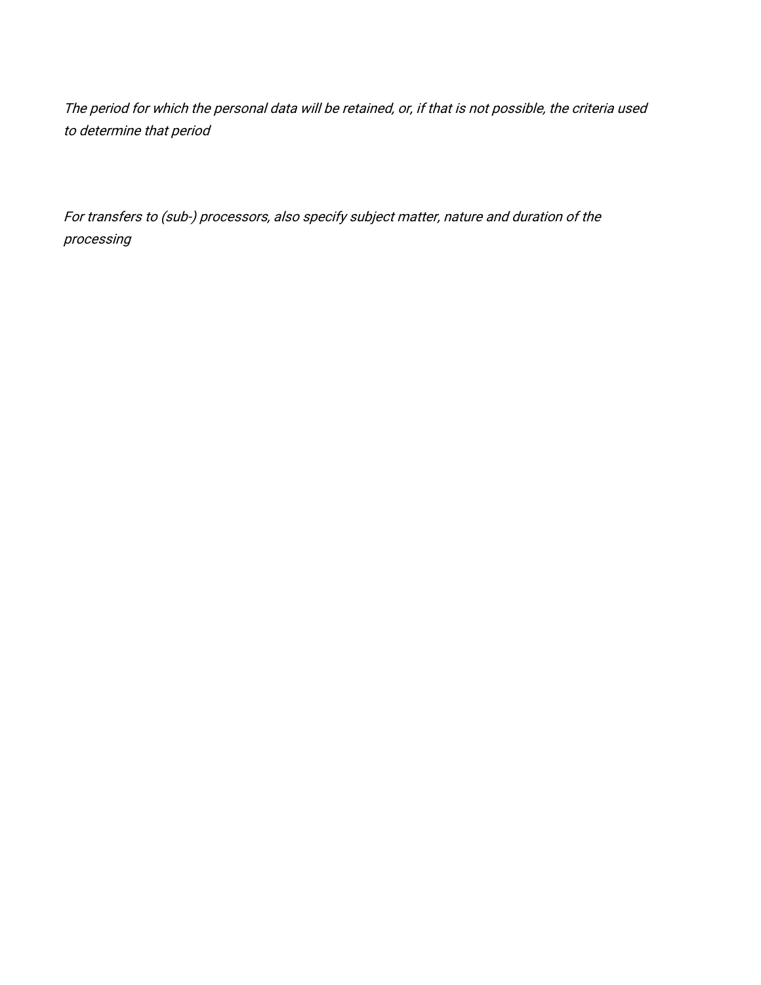The period for which the personal data will be retained, or, if that is not possible, the criteria used to determine that period

For transfers to (sub-) processors, also specify subject matter, nature and duration of the processing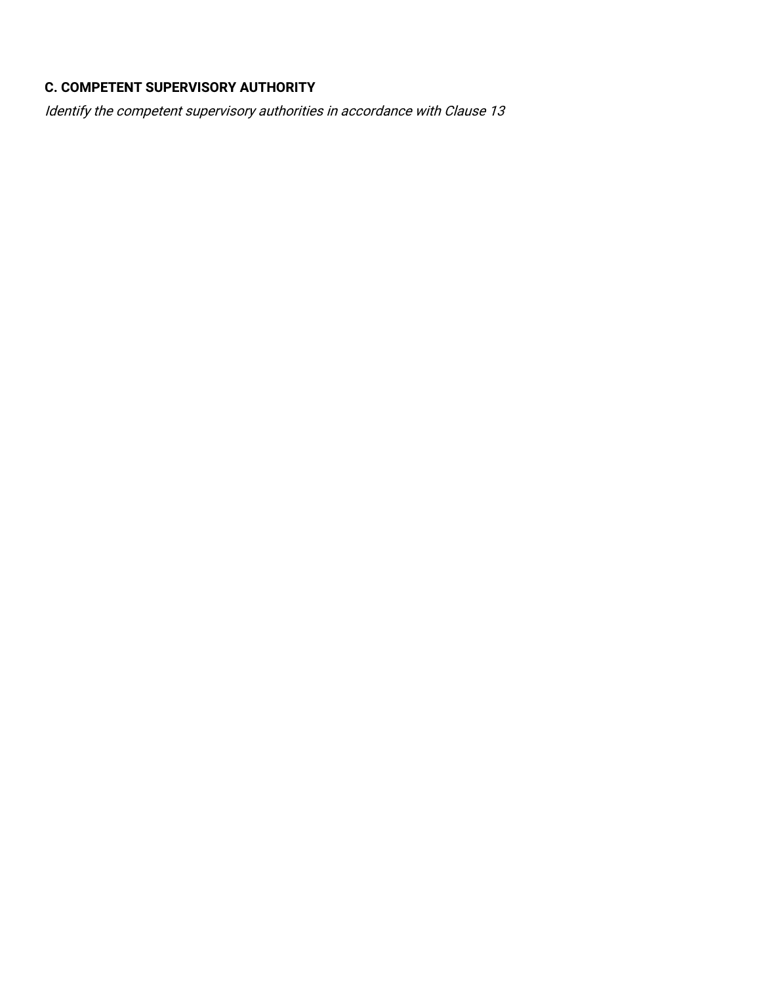## **C. COMPETENT SUPERVISORY AUTHORITY**

Identify the competent supervisory authorities in accordance with Clause 13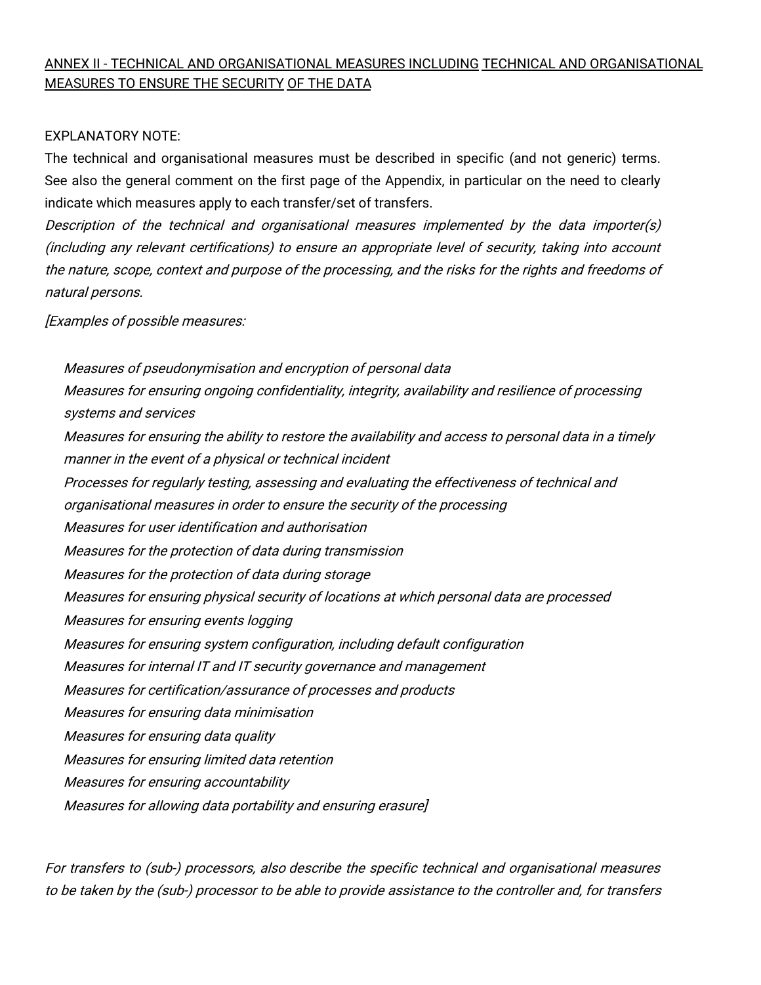## ANNEX II - TECHNICAL AND ORGANISATIONAL MEASURES INCLUDING TECHNICAL AND ORGANISATIONAL MEASURES TO ENSURE THE SECURITY OF THE DATA

## EXPLANATORY NOTE:

The technical and organisational measures must be described in specific (and not generic) terms. See also the general comment on the first page of the Appendix, in particular on the need to clearly indicate which measures apply to each transfer/set of transfers.

Description of the technical and organisational measures implemented by the data importer(s) (including any relevant certifications) to ensure an appropriate level of security, taking into account the nature, scope, context and purpose of the processing, and the risks for the rights and freedoms of natural persons.

[Examples of possible measures:

Measures of pseudonymisation and encryption of personal data Measures for ensuring ongoing confidentiality, integrity, availability and resilience of processing systems and services Measures for ensuring the ability to restore the availability and access to personal data in <sup>a</sup> timely manner in the event of <sup>a</sup> physical or technical incident Processes for regularly testing, assessing and evaluating the effectiveness of technical and organisational measures in order to ensure the security of the processing Measures for user identification and authorisation Measures for the protection of data during transmission Measures for the protection of data during storage Measures for ensuring physical security of locations at which personal data are processed Measures for ensuring events logging Measures for ensuring system configuration, including default configuration Measures for internal IT and IT security governance and management Measures for certification/assurance of processes and products Measures for ensuring data minimisation Measures for ensuring data quality Measures for ensuring limited data retention Measures for ensuring accountability Measures for allowing data portability and ensuring erasure]

For transfers to (sub-) processors, also describe the specific technical and organisational measures to be taken by the (sub-) processor to be able to provide assistance to the controller and, for transfers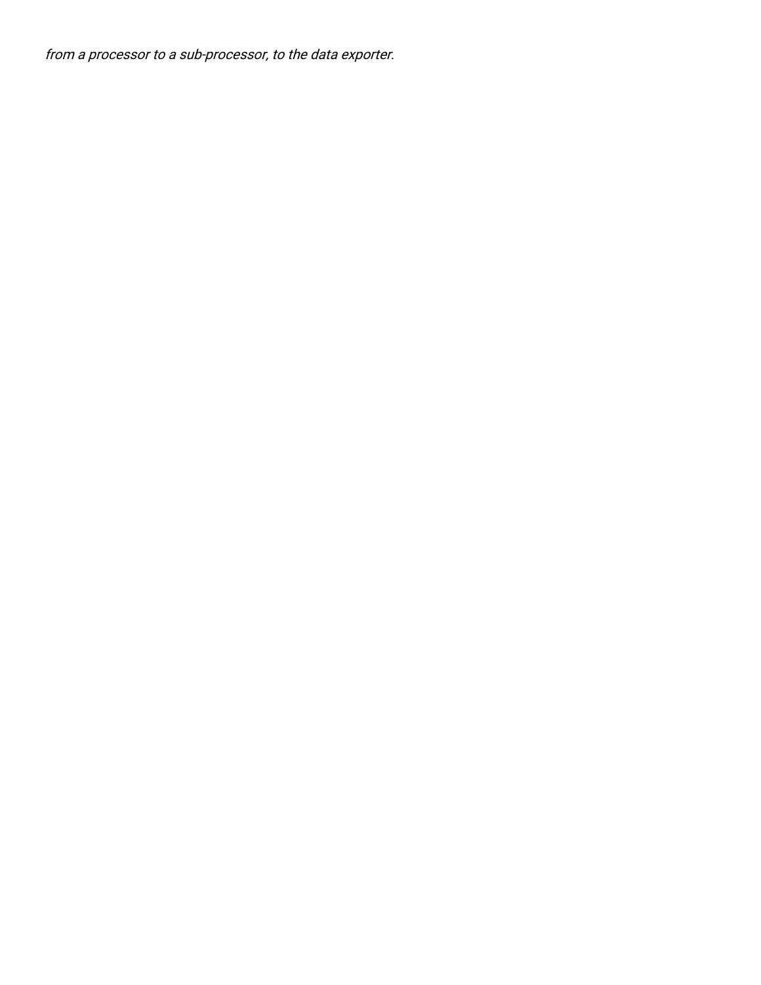from <sup>a</sup> processor to <sup>a</sup> sub-processor, to the data exporter.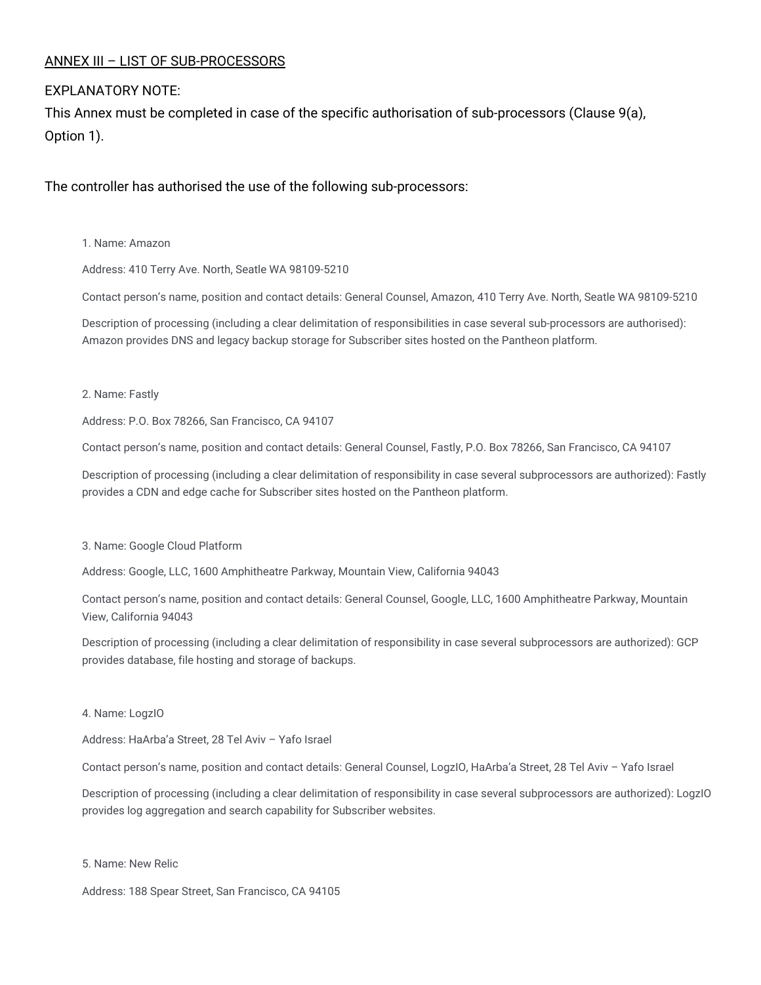#### ANNEX III – LIST OF SUB-PROCESSORS

#### EXPLANATORY NOTE:

This Annex must be completed in case of the specific authorisation of sub-processors (Clause 9(a), Option 1).

The controller has authorised the use of the following sub-processors:

1. Name: Amazon

Address: 410 Terry Ave. North, Seatle WA 98109-5210

Contact person's name, position and contact details: General Counsel, Amazon, 410 Terry Ave. North, Seatle WA 98109-5210

Description of processing (including a clear delimitation of responsibilities in case several sub-processors are authorised): Amazon provides DNS and legacy backup storage for Subscriber sites hosted on the Pantheon platform.

2. Name: Fastly

Address: P.O. Box 78266, San Francisco, CA 94107

Contact person's name, position and contact details: General Counsel, Fastly, P.O. Box 78266, San Francisco, CA 94107

Description of processing (including a clear delimitation of responsibility in case several subprocessors are authorized): Fastly provides a CDN and edge cache for Subscriber sites hosted on the Pantheon platform.

3. Name: Google Cloud Platform

Address: Google, LLC, 1600 Amphitheatre Parkway, Mountain View, California 94043

Contact person's name, position and contact details: General Counsel, Google, LLC, 1600 Amphitheatre Parkway, Mountain View, California 94043

Description of processing (including a clear delimitation of responsibility in case several subprocessors are authorized): GCP provides database, file hosting and storage of backups.

#### 4. Name: LogzIO

Address: HaArba'a Street, 28 Tel Aviv – Yafo Israel

Contact person's name, position and contact details: General Counsel, LogzIO, HaArba'a Street, 28 Tel Aviv – Yafo Israel

Description of processing (including a clear delimitation of responsibility in case several subprocessors are authorized): LogzIO provides log aggregation and search capability for Subscriber websites.

5. Name: New Relic

Address: 188 Spear Street, San Francisco, CA 94105